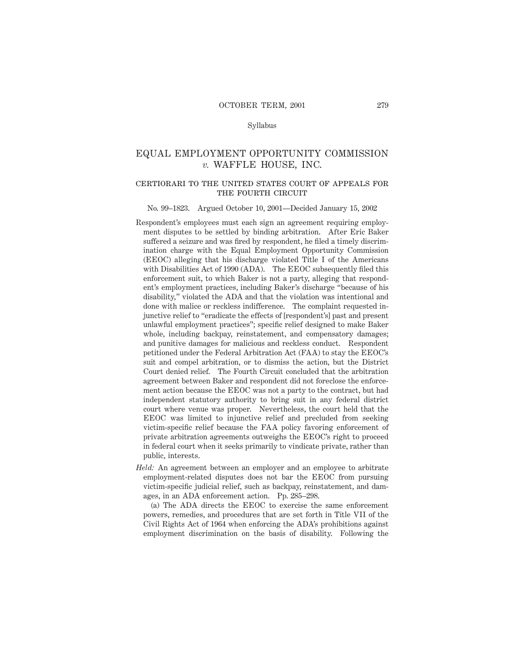### Syllabus

# EQUAL EMPLOYMENT OPPORTUNITY COMMISSION *v.* WAFFLE HOUSE, INC.

### certiorari to the united states court of appeals forTHE FOURTH CIRCUIT

#### No. 99–1823. Argued October 10, 2001—Decided January 15, 2002

- Respondent's employees must each sign an agreement requiring employment disputes to be settled by binding arbitration. After Eric Baker suffered a seizure and was fired by respondent, he filed a timely discrimination charge with the Equal Employment Opportunity Commission (EEOC) alleging that his discharge violated Title I of the Americans with Disabilities Act of 1990 (ADA). The EEOC subsequently filed this enforcement suit, to which Baker is not a party, alleging that respondent's employment practices, including Baker's discharge "because of his disability," violated the ADA and that the violation was intentional and done with malice or reckless indifference. The complaint requested injunctive relief to "eradicate the effects of [respondent's] past and present unlawful employment practices"; specific relief designed to make Baker whole, including backpay, reinstatement, and compensatory damages; and punitive damages for malicious and reckless conduct. Respondent petitioned under the Federal Arbitration Act (FAA) to stay the EEOC's suit and compel arbitration, or to dismiss the action, but the District Court denied relief. The Fourth Circuit concluded that the arbitration agreement between Baker and respondent did not foreclose the enforcement action because the EEOC was not a party to the contract, but had independent statutory authority to bring suit in any federal district court where venue was proper. Nevertheless, the court held that the EEOC was limited to injunctive relief and precluded from seeking victim-specific relief because the FAA policy favoring enforcement of private arbitration agreements outweighs the EEOC's right to proceed in federal court when it seeks primarily to vindicate private, rather than public, interests.
- *Held:* An agreement between an employer and an employee to arbitrate employment-related disputes does not bar the EEOC from pursuing victim-specific judicial relief, such as backpay, reinstatement, and damages, in an ADA enforcement action. Pp. 285–298.

(a) The ADA directs the EEOC to exercise the same enforcement powers, remedies, and procedures that are set forth in Title VII of the Civil Rights Act of 1964 when enforcing the ADA's prohibitions against employment discrimination on the basis of disability. Following the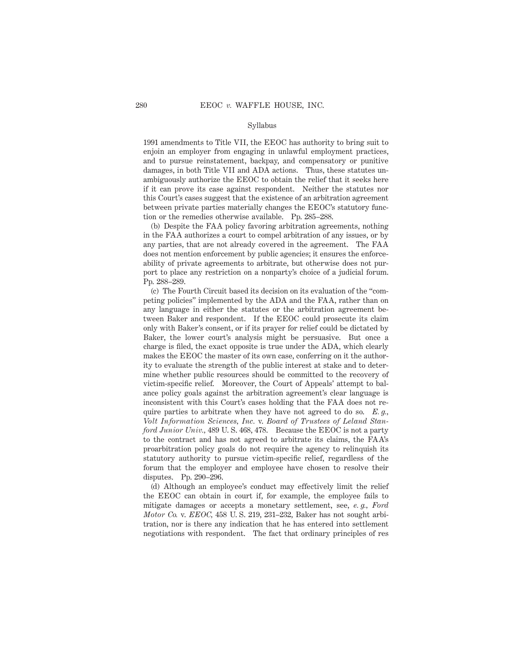#### Syllabus

1991 amendments to Title VII, the EEOC has authority to bring suit to enjoin an employer from engaging in unlawful employment practices, and to pursue reinstatement, backpay, and compensatory or punitive damages, in both Title VII and ADA actions. Thus, these statutes unambiguously authorize the EEOC to obtain the relief that it seeks here if it can prove its case against respondent. Neither the statutes nor this Court's cases suggest that the existence of an arbitration agreement between private parties materially changes the EEOC's statutory function or the remedies otherwise available. Pp. 285–288.

(b) Despite the FAA policy favoring arbitration agreements, nothing in the FAA authorizes a court to compel arbitration of any issues, or by any parties, that are not already covered in the agreement. The FAA does not mention enforcement by public agencies; it ensures the enforceability of private agreements to arbitrate, but otherwise does not purport to place any restriction on a nonparty's choice of a judicial forum. Pp. 288–289.

(c) The Fourth Circuit based its decision on its evaluation of the "competing policies" implemented by the ADA and the FAA, rather than on any language in either the statutes or the arbitration agreement between Baker and respondent. If the EEOC could prosecute its claim only with Baker's consent, or if its prayer for relief could be dictated by Baker, the lower court's analysis might be persuasive. But once a charge is filed, the exact opposite is true under the ADA, which clearly makes the EEOC the master of its own case, conferring on it the authority to evaluate the strength of the public interest at stake and to determine whether public resources should be committed to the recovery of victim-specific relief. Moreover, the Court of Appeals' attempt to balance policy goals against the arbitration agreement's clear language is inconsistent with this Court's cases holding that the FAA does not require parties to arbitrate when they have not agreed to do so. *E. g., Volt Information Sciences, Inc.* v. *Board of Trustees of Leland Stanford Junior Univ.,* 489 U. S. 468, 478. Because the EEOC is not a party to the contract and has not agreed to arbitrate its claims, the FAA's proarbitration policy goals do not require the agency to relinquish its statutory authority to pursue victim-specific relief, regardless of the forum that the employer and employee have chosen to resolve their disputes. Pp. 290–296.

(d) Although an employee's conduct may effectively limit the relief the EEOC can obtain in court if, for example, the employee fails to mitigate damages or accepts a monetary settlement, see, *e. g., Ford Motor Co.* v. *EEOC,* 458 U. S. 219, 231–232, Baker has not sought arbitration, nor is there any indication that he has entered into settlement negotiations with respondent. The fact that ordinary principles of res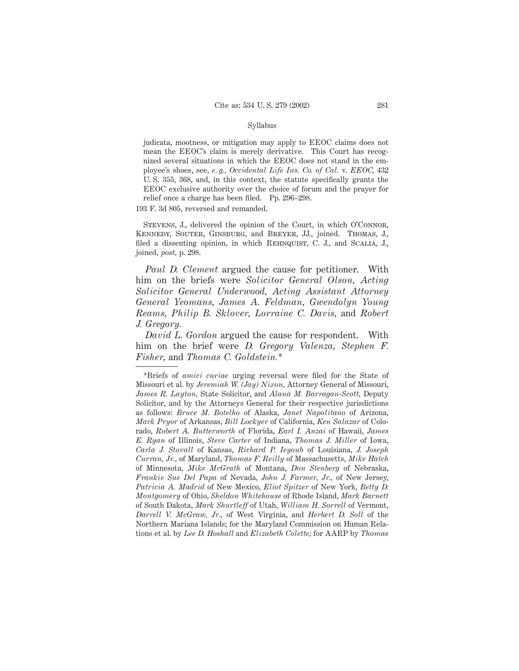#### Syllabus

judicata, mootness, or mitigation may apply to EEOC claims does not mean the EEOC's claim is merely derivative. This Court has recognized several situations in which the EEOC does not stand in the employee's shoes, see, *e. g., Occidental Life Ins. Co. of Cal.* v. *EEOC,* 432 U. S. 355, 368, and, in this context, the statute specifically grants the EEOC exclusive authority over the choice of forum and the prayer for relief once a charge has been filed. Pp. 296–298.

193 F. 3d 805, reversed and remanded.

STEVENS, J., delivered the opinion of the Court, in which O'CONNOR, Kennedy, Souter, Ginsburg, and Breyer, JJ., joined. Thomas, J., filed a dissenting opinion, in which REHNQUIST, C. J., and SCALIA, J., joined, *post,* p. 298.

*Paul D. Clement* argued the cause for petitioner. With him on the briefs were *Solicitor General Olson, Acting Solicitor General Underwood, Acting Assistant Attorney General Yeomans, James A. Feldman, Gwendolyn Young Reams, Philip B. Sklover, Lorraine C. Davis,* and *Robert J. Gregory.*

*David L. Gordon* argued the cause for respondent. With him on the brief were *D. Gregory Valenza, Stephen F. Fisher,* and *Thomas C. Goldstein.*\*

<sup>\*</sup>Briefs of *amici curiae* urging reversal were filed for the State of Missouri et al. by *Jeremiah W. (Jay) Nixon,* Attorney General of Missouri, *James R. Layton,* State Solicitor, and *Alana M. Barragan-Scott,* Deputy Solicitor, and by the Attorneys General for their respective jurisdictions as follows: *Bruce M. Botelho* of Alaska, *Janet Napolitano* of Arizona, *Mark Pryor* of Arkansas, *Bill Lockyer* of California, *Ken Salazar* of Colorado, *Robert A. Butterworth* of Florida, *Earl I. Anzai* of Hawaii, *James E. Ryan* of Illinois, *Steve Carter* of Indiana, *Thomas J. Miller* of Iowa, *Carla J. Stovall* of Kansas, *Richard P. Ieyoub* of Louisiana, *J. Joseph Curran, Jr.,* of Maryland, *Thomas F. Reilly* of Massachusetts, *Mike Hatch* of Minnesota, *Mike McGrath* of Montana, *Don Stenberg* of Nebraska, *Frankie Sue Del Papa* of Nevada, *John J. Farmer, Jr.,* of New Jersey, *Patricia A. Madrid* of New Mexico, *Eliot Spitzer* of New York, *Betty D. Montgomery* of Ohio, *Sheldon Whitehouse* of Rhode Island, *Mark Barnett* of South Dakota, *Mark Shurtleff* of Utah, *William H. Sorrell* of Vermont, *Darrell V. McGraw, Jr.,* of West Virginia, and *Herbert D. Soll* of the Northern Mariana Islands; for the Maryland Commission on Human Relations et al. by *Lee D. Hoshall* and *Elizabeth Colette;* for AARP by *Thomas*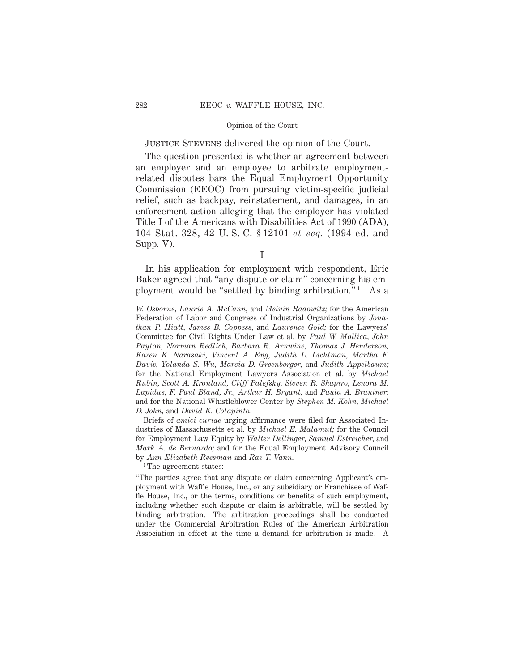Justice Stevens delivered the opinion of the Court.

The question presented is whether an agreement between an employer and an employee to arbitrate employmentrelated disputes bars the Equal Employment Opportunity Commission (EEOC) from pursuing victim-specific judicial relief, such as backpay, reinstatement, and damages, in an enforcement action alleging that the employer has violated Title I of the Americans with Disabilities Act of 1990 (ADA), 104 Stat. 328, 42 U. S. C. § 12101 *et seq.* (1994 ed. and Supp. V).

In his application for employment with respondent, Eric Baker agreed that "any dispute or claim" concerning his employment would be "settled by binding arbitration."<sup>1</sup> As a

Briefs of *amici curiae* urging affirmance were filed for Associated Industries of Massachusetts et al. by *Michael E. Malamut;* for the Council for Employment Law Equity by *Walter Dellinger, Samuel Estreicher,* and *Mark A. de Bernardo;* and for the Equal Employment Advisory Council by *Ann Elizabeth Reesman* and *Rae T. Vann.*

<sup>1</sup>The agreement states:

"The parties agree that any dispute or claim concerning Applicant's employment with Waffle House, Inc., or any subsidiary or Franchisee of Waffle House, Inc., or the terms, conditions or benefits of such employment, including whether such dispute or claim is arbitrable, will be settled by binding arbitration. The arbitration proceedings shall be conducted under the Commercial Arbitration Rules of the American Arbitration Association in effect at the time a demand for arbitration is made. A

I

*W. Osborne, Laurie A. McCann,* and *Melvin Radowitz;* for the American Federation of Labor and Congress of Industrial Organizations by *Jonathan P. Hiatt, James B. Coppess,* and *Laurence Gold;* for the Lawyers' Committee for Civil Rights Under Law et al. by *Paul W. Mollica, John Payton, Norman Redlich, Barbara R. Arnwine, Thomas J. Henderson, Karen K. Narasaki, Vincent A. Eng, Judith L. Lichtman, Martha F. Davis, Yolanda S. Wu, Marcia D. Greenberger,* and *Judith Appelbaum;* for the National Employment Lawyers Association et al. by *Michael Rubin, Scott A. Kronland, Cliff Palefsky, Steven R. Shapiro, Lenora M. Lapidus, F. Paul Bland, Jr., Arthur H. Bryant,* and *Paula A. Brantner;* and for the National Whistleblower Center by *Stephen M. Kohn, Michael D. John,* and *David K. Colapinto.*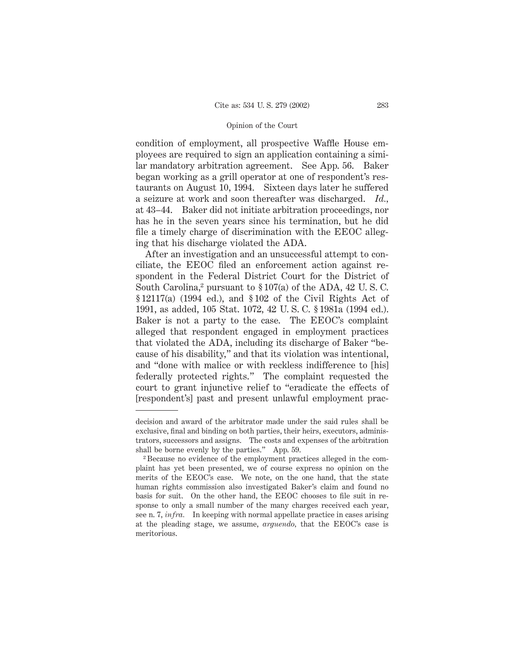condition of employment, all prospective Waffle House employees are required to sign an application containing a similar mandatory arbitration agreement. See App. 56. Baker began working as a grill operator at one of respondent's restaurants on August 10, 1994. Sixteen days later he suffered a seizure at work and soon thereafter was discharged. *Id.,* at 43–44. Baker did not initiate arbitration proceedings, nor has he in the seven years since his termination, but he did file a timely charge of discrimination with the EEOC alleging that his discharge violated the ADA.

After an investigation and an unsuccessful attempt to conciliate, the EEOC filed an enforcement action against respondent in the Federal District Court for the District of South Carolina,<sup>2</sup> pursuant to §107(a) of the ADA, 42 U.S.C. § 12117(a) (1994 ed.), and § 102 of the Civil Rights Act of 1991, as added, 105 Stat. 1072, 42 U. S. C. § 1981a (1994 ed.). Baker is not a party to the case. The EEOC's complaint alleged that respondent engaged in employment practices that violated the ADA, including its discharge of Baker "because of his disability," and that its violation was intentional, and "done with malice or with reckless indifference to [his] federally protected rights." The complaint requested the court to grant injunctive relief to "eradicate the effects of [respondent's] past and present unlawful employment prac-

decision and award of the arbitrator made under the said rules shall be exclusive, final and binding on both parties, their heirs, executors, administrators, successors and assigns. The costs and expenses of the arbitration shall be borne evenly by the parties." App. 59.

<sup>2</sup> Because no evidence of the employment practices alleged in the complaint has yet been presented, we of course express no opinion on the merits of the EEOC's case. We note, on the one hand, that the state human rights commission also investigated Baker's claim and found no basis for suit. On the other hand, the EEOC chooses to file suit in response to only a small number of the many charges received each year, see n. 7, *infra.* In keeping with normal appellate practice in cases arising at the pleading stage, we assume, *arguendo,* that the EEOC's case is meritorious.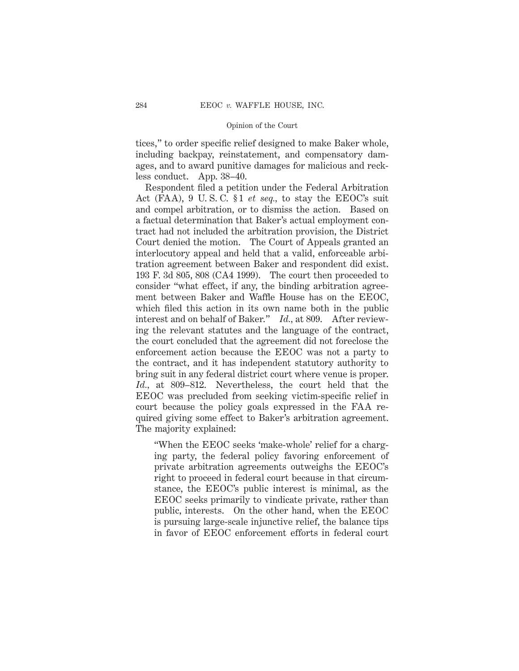tices," to order specific relief designed to make Baker whole, including backpay, reinstatement, and compensatory damages, and to award punitive damages for malicious and reckless conduct. App. 38–40.

Respondent filed a petition under the Federal Arbitration Act (FAA), 9 U. S. C. § 1 *et seq.,* to stay the EEOC's suit and compel arbitration, or to dismiss the action. Based on a factual determination that Baker's actual employment contract had not included the arbitration provision, the District Court denied the motion. The Court of Appeals granted an interlocutory appeal and held that a valid, enforceable arbitration agreement between Baker and respondent did exist. 193 F. 3d 805, 808 (CA4 1999). The court then proceeded to consider "what effect, if any, the binding arbitration agreement between Baker and Waffle House has on the EEOC, which filed this action in its own name both in the public interest and on behalf of Baker." *Id.,* at 809. After reviewing the relevant statutes and the language of the contract, the court concluded that the agreement did not foreclose the enforcement action because the EEOC was not a party to the contract, and it has independent statutory authority to bring suit in any federal district court where venue is proper. *Id.,* at 809–812. Nevertheless, the court held that the EEOC was precluded from seeking victim-specific relief in court because the policy goals expressed in the FAA required giving some effect to Baker's arbitration agreement. The majority explained:

"When the EEOC seeks 'make-whole' relief for a charging party, the federal policy favoring enforcement of private arbitration agreements outweighs the EEOC's right to proceed in federal court because in that circumstance, the EEOC's public interest is minimal, as the EEOC seeks primarily to vindicate private, rather than public, interests. On the other hand, when the EEOC is pursuing large-scale injunctive relief, the balance tips in favor of EEOC enforcement efforts in federal court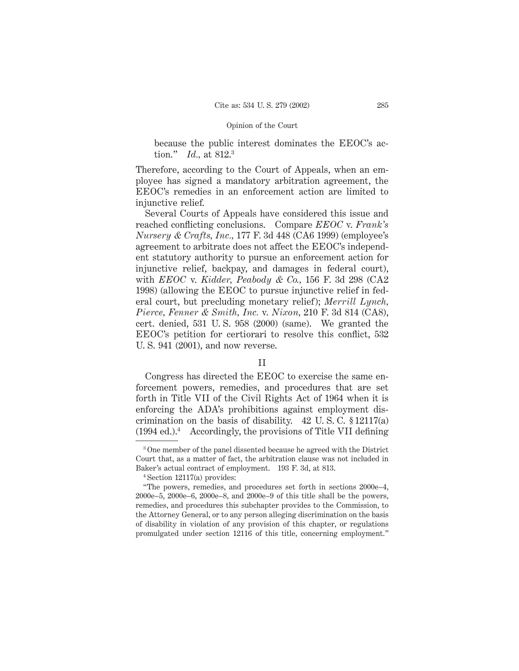because the public interest dominates the EEOC's action." *Id.,* at 812.3

Therefore, according to the Court of Appeals, when an employee has signed a mandatory arbitration agreement, the EEOC's remedies in an enforcement action are limited to injunctive relief.

Several Courts of Appeals have considered this issue and reached conflicting conclusions. Compare *EEOC* v. *Frank's Nursery & Crafts, Inc.,* 177 F. 3d 448 (CA6 1999) (employee's agreement to arbitrate does not affect the EEOC's independent statutory authority to pursue an enforcement action for injunctive relief, backpay, and damages in federal court), with *EEOC* v. *Kidder, Peabody & Co.,* 156 F. 3d 298 (CA2 1998) (allowing the EEOC to pursue injunctive relief in federal court, but precluding monetary relief); *Merrill Lynch, Pierce, Fenner & Smith, Inc.* v. *Nixon,* 210 F. 3d 814 (CA8), cert. denied, 531 U. S. 958 (2000) (same). We granted the EEOC's petition for certiorari to resolve this conflict, 532 U. S. 941 (2001), and now reverse.

# II

Congress has directed the EEOC to exercise the same enforcement powers, remedies, and procedures that are set forth in Title VII of the Civil Rights Act of 1964 when it is enforcing the ADA's prohibitions against employment discrimination on the basis of disability.  $42 \text{ U.S. C. }$  \$12117(a)  $(1994 \text{ ed.})$ <sup>4</sup> Accordingly, the provisions of Title VII defining

<sup>3</sup> One member of the panel dissented because he agreed with the District Court that, as a matter of fact, the arbitration clause was not included in Baker's actual contract of employment. 193 F. 3d, at 813.

<sup>4</sup> Section 12117(a) provides:

<sup>&</sup>quot;The powers, remedies, and procedures set forth in sections 2000e–4, 2000e–5, 2000e–6, 2000e–8, and 2000e–9 of this title shall be the powers, remedies, and procedures this subchapter provides to the Commission, to the Attorney General, or to any person alleging discrimination on the basis of disability in violation of any provision of this chapter, or regulations promulgated under section 12116 of this title, concerning employment."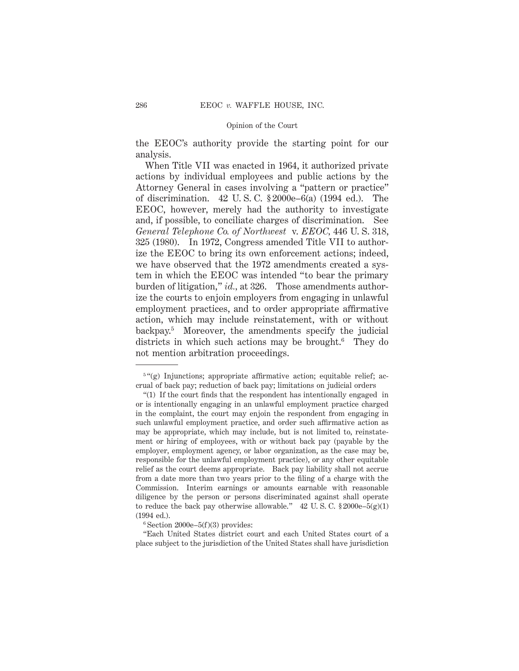the EEOC's authority provide the starting point for our analysis.

When Title VII was enacted in 1964, it authorized private actions by individual employees and public actions by the Attorney General in cases involving a "pattern or practice" of discrimination. 42 U. S. C. § 2000e–6(a) (1994 ed.). The EEOC, however, merely had the authority to investigate and, if possible, to conciliate charges of discrimination. See *General Telephone Co. of Northwest* v. *EEOC,* 446 U. S. 318, 325 (1980). In 1972, Congress amended Title VII to authorize the EEOC to bring its own enforcement actions; indeed, we have observed that the 1972 amendments created a system in which the EEOC was intended "to bear the primary burden of litigation," *id.,* at 326. Those amendments authorize the courts to enjoin employers from engaging in unlawful employment practices, and to order appropriate affirmative action, which may include reinstatement, with or without backpay.5 Moreover, the amendments specify the judicial districts in which such actions may be brought.<sup>6</sup> They do not mention arbitration proceedings.

"Each United States district court and each United States court of a place subject to the jurisdiction of the United States shall have jurisdiction

 $5$ <sup>"</sup>(g) Injunctions; appropriate affirmative action; equitable relief; accrual of back pay; reduction of back pay; limitations on judicial orders

<sup>&</sup>quot;(1) If the court finds that the respondent has intentionally engaged in or is intentionally engaging in an unlawful employment practice charged in the complaint, the court may enjoin the respondent from engaging in such unlawful employment practice, and order such affirmative action as may be appropriate, which may include, but is not limited to, reinstatement or hiring of employees, with or without back pay (payable by the employer, employment agency, or labor organization, as the case may be, responsible for the unlawful employment practice), or any other equitable relief as the court deems appropriate. Back pay liability shall not accrue from a date more than two years prior to the filing of a charge with the Commission. Interim earnings or amounts earnable with reasonable diligence by the person or persons discriminated against shall operate to reduce the back pay otherwise allowable."  $42 \text{ U.S. C. }$ \$2000e–5(g)(1) (1994 ed.).

 $6$  Section 2000e– $5(f)(3)$  provides: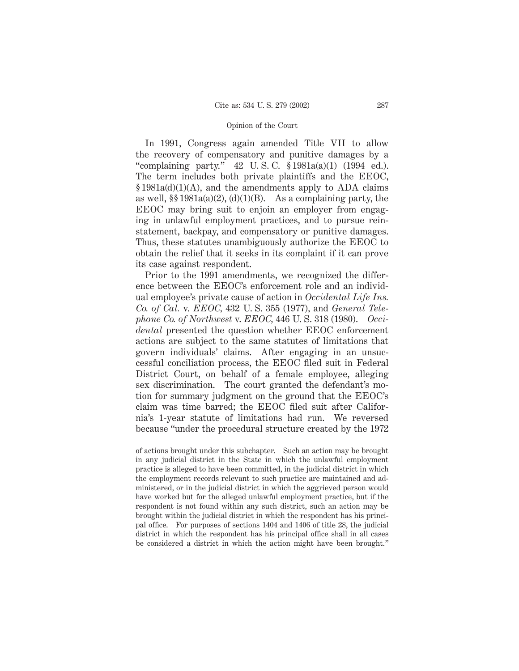In 1991, Congress again amended Title VII to allow the recovery of compensatory and punitive damages by a "complaining party." 42 U. S. C. § 1981a(a)(1) (1994 ed.). The term includes both private plaintiffs and the EEOC,  $§ 1981a(d)(1)(A)$ , and the amendments apply to ADA claims as well,  $\S$  1981a(a)(2), (d)(1)(B). As a complaining party, the EEOC may bring suit to enjoin an employer from engaging in unlawful employment practices, and to pursue reinstatement, backpay, and compensatory or punitive damages. Thus, these statutes unambiguously authorize the EEOC to obtain the relief that it seeks in its complaint if it can prove its case against respondent.

Prior to the 1991 amendments, we recognized the difference between the EEOC's enforcement role and an individual employee's private cause of action in *Occidental Life Ins. Co. of Cal.* v. *EEOC,* 432 U. S. 355 (1977), and *General Telephone Co. of Northwest* v. *EEOC,* 446 U. S. 318 (1980). *Occidental* presented the question whether EEOC enforcement actions are subject to the same statutes of limitations that govern individuals' claims. After engaging in an unsuccessful conciliation process, the EEOC filed suit in Federal District Court, on behalf of a female employee, alleging sex discrimination. The court granted the defendant's motion for summary judgment on the ground that the EEOC's claim was time barred; the EEOC filed suit after California's 1-year statute of limitations had run. We reversed because "under the procedural structure created by the 1972

of actions brought under this subchapter. Such an action may be brought in any judicial district in the State in which the unlawful employment practice is alleged to have been committed, in the judicial district in which the employment records relevant to such practice are maintained and administered, or in the judicial district in which the aggrieved person would have worked but for the alleged unlawful employment practice, but if the respondent is not found within any such district, such an action may be brought within the judicial district in which the respondent has his principal office. For purposes of sections 1404 and 1406 of title 28, the judicial district in which the respondent has his principal office shall in all cases be considered a district in which the action might have been brought."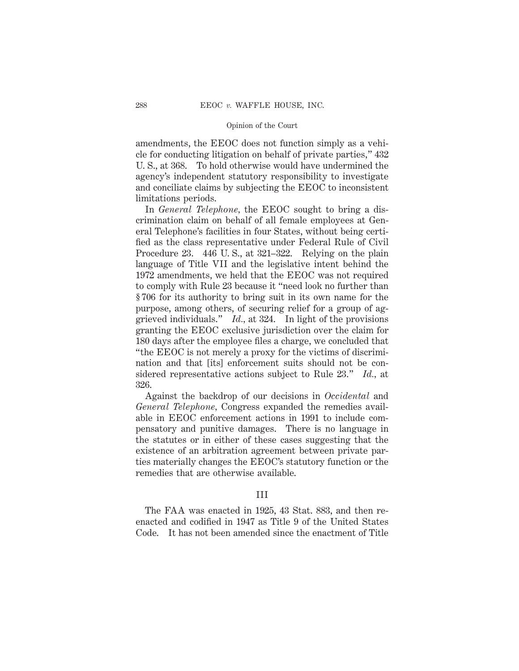amendments, the EEOC does not function simply as a vehicle for conducting litigation on behalf of private parties," 432 U. S., at 368. To hold otherwise would have undermined the agency's independent statutory responsibility to investigate and conciliate claims by subjecting the EEOC to inconsistent limitations periods.

In *General Telephone,* the EEOC sought to bring a discrimination claim on behalf of all female employees at General Telephone's facilities in four States, without being certified as the class representative under Federal Rule of Civil Procedure 23. 446 U. S., at 321–322. Relying on the plain language of Title VII and the legislative intent behind the 1972 amendments, we held that the EEOC was not required to comply with Rule 23 because it "need look no further than § 706 for its authority to bring suit in its own name for the purpose, among others, of securing relief for a group of aggrieved individuals." *Id.,* at 324. In light of the provisions granting the EEOC exclusive jurisdiction over the claim for 180 days after the employee files a charge, we concluded that "the EEOC is not merely a proxy for the victims of discrimination and that [its] enforcement suits should not be considered representative actions subject to Rule 23." *Id.,* at 326.

Against the backdrop of our decisions in *Occidental* and *General Telephone,* Congress expanded the remedies available in EEOC enforcement actions in 1991 to include compensatory and punitive damages. There is no language in the statutes or in either of these cases suggesting that the existence of an arbitration agreement between private parties materially changes the EEOC's statutory function or the remedies that are otherwise available.

# III

The FAA was enacted in 1925, 43 Stat. 883, and then reenacted and codified in 1947 as Title 9 of the United States Code. It has not been amended since the enactment of Title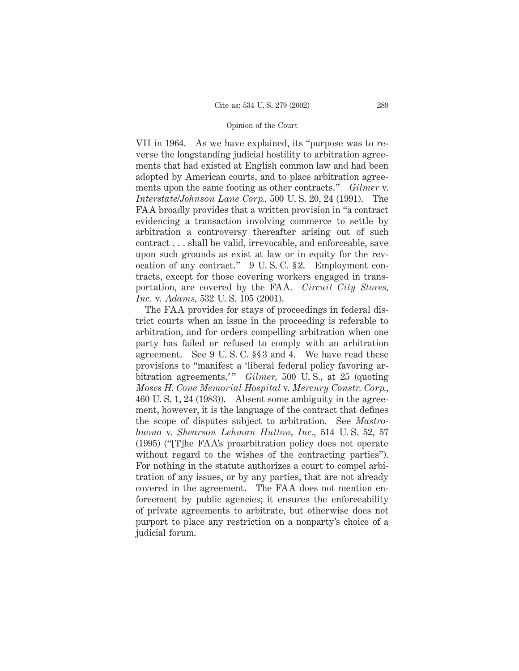VII in 1964. As we have explained, its "purpose was to reverse the longstanding judicial hostility to arbitration agreements that had existed at English common law and had been adopted by American courts, and to place arbitration agreements upon the same footing as other contracts." *Gilmer* v. *Interstate/Johnson Lane Corp.,* 500 U. S. 20, 24 (1991). The FAA broadly provides that a written provision in "a contract evidencing a transaction involving commerce to settle by arbitration a controversy thereafter arising out of such contract . . . shall be valid, irrevocable, and enforceable, save upon such grounds as exist at law or in equity for the revocation of any contract." 9 U. S. C. § 2. Employment contracts, except for those covering workers engaged in transportation, are covered by the FAA. *Circuit City Stores, Inc.* v. *Adams,* 532 U. S. 105 (2001).

The FAA provides for stays of proceedings in federal district courts when an issue in the proceeding is referable to arbitration, and for orders compelling arbitration when one party has failed or refused to comply with an arbitration agreement. See 9 U. S. C. §§ 3 and 4. We have read these provisions to "manifest a 'liberal federal policy favoring arbitration agreements.'" *Gilmer*, 500 U.S., at 25 (quoting *Moses H. Cone Memorial Hospital* v. *Mercury Constr. Corp.,* 460 U. S. 1, 24 (1983)). Absent some ambiguity in the agreement, however, it is the language of the contract that defines the scope of disputes subject to arbitration. See *Mastrobuono* v. *Shearson Lehman Hutton, Inc.,* 514 U. S. 52, 57 (1995) ("[T]he FAA's proarbitration policy does not operate without regard to the wishes of the contracting parties". For nothing in the statute authorizes a court to compel arbitration of any issues, or by any parties, that are not already covered in the agreement. The FAA does not mention enforcement by public agencies; it ensures the enforceability of private agreements to arbitrate, but otherwise does not purport to place any restriction on a nonparty's choice of a judicial forum.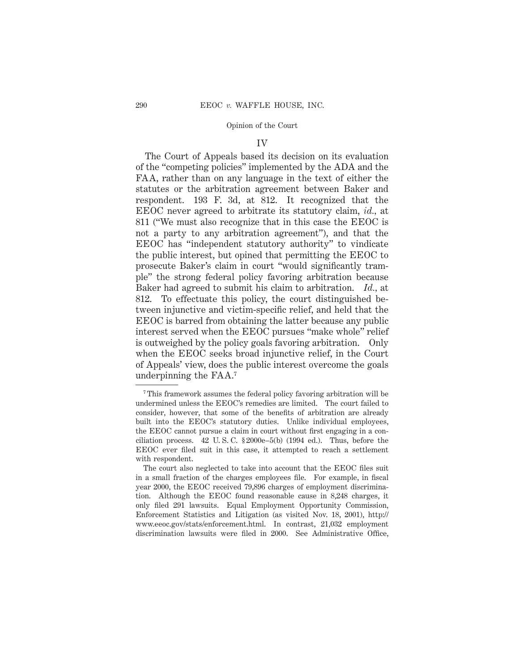### IV

The Court of Appeals based its decision on its evaluation of the "competing policies" implemented by the ADA and the FAA, rather than on any language in the text of either the statutes or the arbitration agreement between Baker and respondent. 193 F. 3d, at 812. It recognized that the EEOC never agreed to arbitrate its statutory claim, *id.,* at 811 ("We must also recognize that in this case the EEOC is not a party to any arbitration agreement"), and that the EEOC has "independent statutory authority" to vindicate the public interest, but opined that permitting the EEOC to prosecute Baker's claim in court "would significantly trample" the strong federal policy favoring arbitration because Baker had agreed to submit his claim to arbitration. *Id.,* at 812. To effectuate this policy, the court distinguished between injunctive and victim-specific relief, and held that the EEOC is barred from obtaining the latter because any public interest served when the EEOC pursues "make whole" relief is outweighed by the policy goals favoring arbitration. Only when the EEOC seeks broad injunctive relief, in the Court of Appeals' view, does the public interest overcome the goals underpinning the FAA.7

<sup>7</sup> This framework assumes the federal policy favoring arbitration will be undermined unless the EEOC's remedies are limited. The court failed to consider, however, that some of the benefits of arbitration are already built into the EEOC's statutory duties. Unlike individual employees, the EEOC cannot pursue a claim in court without first engaging in a conciliation process.  $42 \text{ U.S. C. }$ \$2000e–5(b) (1994 ed.). Thus, before the EEOC ever filed suit in this case, it attempted to reach a settlement with respondent.

The court also neglected to take into account that the EEOC files suit in a small fraction of the charges employees file. For example, in fiscal year 2000, the EEOC received 79,896 charges of employment discrimination. Although the EEOC found reasonable cause in 8,248 charges, it only filed 291 lawsuits. Equal Employment Opportunity Commission, Enforcement Statistics and Litigation (as visited Nov. 18, 2001), http:// www.eeoc.gov/stats/enforcement.html. In contrast, 21,032 employment discrimination lawsuits were filed in 2000. See Administrative Office,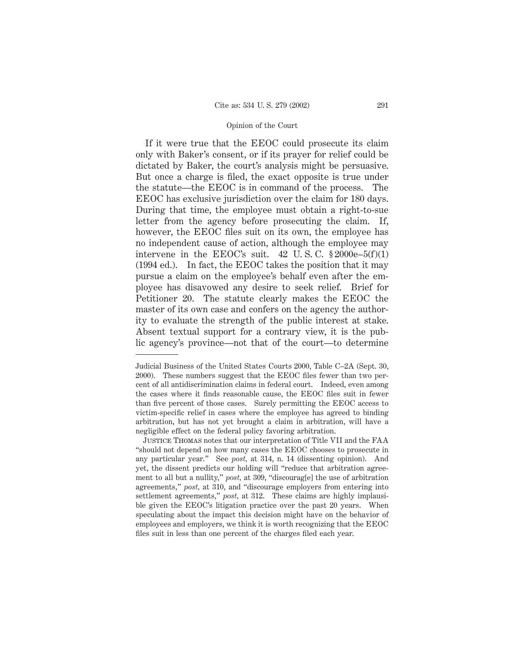If it were true that the EEOC could prosecute its claim only with Baker's consent, or if its prayer for relief could be dictated by Baker, the court's analysis might be persuasive. But once a charge is filed, the exact opposite is true under the statute—the EEOC is in command of the process. The EEOC has exclusive jurisdiction over the claim for 180 days. During that time, the employee must obtain a right-to-sue letter from the agency before prosecuting the claim. If, however, the EEOC files suit on its own, the employee has no independent cause of action, although the employee may intervene in the EEOC's suit.  $42 \text{ U.S. C. }$ \$2000e–5(f)(1) (1994 ed.). In fact, the EEOC takes the position that it may pursue a claim on the employee's behalf even after the employee has disavowed any desire to seek relief. Brief for Petitioner 20. The statute clearly makes the EEOC the master of its own case and confers on the agency the authority to evaluate the strength of the public interest at stake. Absent textual support for a contrary view, it is the public agency's province—not that of the court—to determine

Judicial Business of the United States Courts 2000, Table C–2A (Sept. 30, 2000). These numbers suggest that the EEOC files fewer than two percent of all antidiscrimination claims in federal court. Indeed, even among the cases where it finds reasonable cause, the EEOC files suit in fewer than five percent of those cases. Surely permitting the EEOC access to victim-specific relief in cases where the employee has agreed to binding arbitration, but has not yet brought a claim in arbitration, will have a negligible effect on the federal policy favoring arbitration.

Justice Thomas notes that our interpretation of Title VII and the FAA "should not depend on how many cases the EEOC chooses to prosecute in any particular year." See *post,* at 314, n. 14 (dissenting opinion). And yet, the dissent predicts our holding will "reduce that arbitration agreement to all but a nullity," *post,* at 309, "discourag[e] the use of arbitration agreements," *post,* at 310, and "discourage employers from entering into settlement agreements," *post,* at 312. These claims are highly implausible given the EEOC's litigation practice over the past 20 years. When speculating about the impact this decision might have on the behavior of employees and employers, we think it is worth recognizing that the EEOC files suit in less than one percent of the charges filed each year.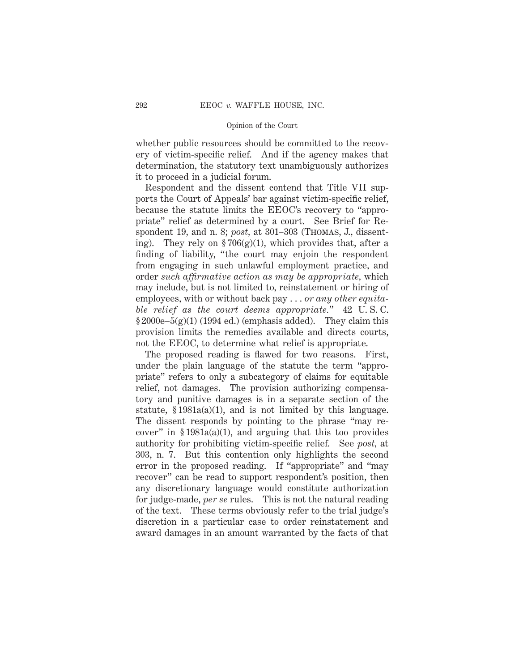whether public resources should be committed to the recovery of victim-specific relief. And if the agency makes that determination, the statutory text unambiguously authorizes it to proceed in a judicial forum.

Respondent and the dissent contend that Title VII supports the Court of Appeals' bar against victim-specific relief, because the statute limits the EEOC's recovery to "appropriate" relief as determined by a court. See Brief for Respondent 19, and n. 8; *post,* at 301–303 (Thomas, J., dissenting). They rely on  $\frac{8706(g)(1)}{h}$ , which provides that, after a finding of liability, "the court may enjoin the respondent from engaging in such unlawful employment practice, and order *such affirmative action as may be appropriate,* which may include, but is not limited to, reinstatement or hiring of employees, with or without back pay . . . *or any other equitable relief as the court deems appropriate.*" 42 U. S. C.  $§ 2000e-5(g)(1)$  (1994 ed.) (emphasis added). They claim this provision limits the remedies available and directs courts, not the EEOC, to determine what relief is appropriate.

The proposed reading is flawed for two reasons. First, under the plain language of the statute the term "appropriate" refers to only a subcategory of claims for equitable relief, not damages. The provision authorizing compensatory and punitive damages is in a separate section of the statute,  $$1981a(a)(1)$ , and is not limited by this language. The dissent responds by pointing to the phrase "may recover" in  $§ 1981a(a)(1)$ , and arguing that this too provides authority for prohibiting victim-specific relief. See *post,* at 303, n. 7. But this contention only highlights the second error in the proposed reading. If "appropriate" and "may recover" can be read to support respondent's position, then any discretionary language would constitute authorization for judge-made, *per se* rules. This is not the natural reading of the text. These terms obviously refer to the trial judge's discretion in a particular case to order reinstatement and award damages in an amount warranted by the facts of that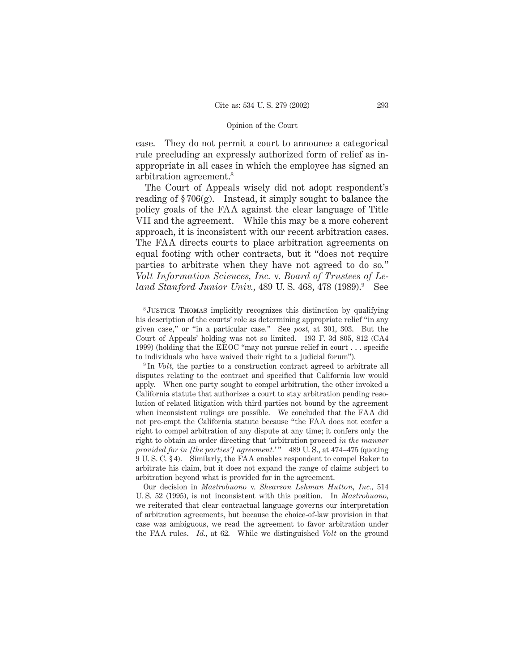case. They do not permit a court to announce a categorical rule precluding an expressly authorized form of relief as inappropriate in all cases in which the employee has signed an arbitration agreement.8

The Court of Appeals wisely did not adopt respondent's reading of  $\S 706(g)$ . Instead, it simply sought to balance the policy goals of the FAA against the clear language of Title VII and the agreement. While this may be a more coherent approach, it is inconsistent with our recent arbitration cases. The FAA directs courts to place arbitration agreements on equal footing with other contracts, but it "does not require parties to arbitrate when they have not agreed to do so." *Volt Information Sciences, Inc.* v. *Board of Trustees of Leland Stanford Junior Univ.,* 489 U. S. 468, 478 (1989).9 See

<sup>8</sup> Justice Thomas implicitly recognizes this distinction by qualifying his description of the courts' role as determining appropriate relief "in any given case," or "in a particular case." See *post,* at 301, 303. But the Court of Appeals' holding was not so limited. 193 F. 3d 805, 812 (CA4 1999) (holding that the EEOC "may not pursue relief in court... specific to individuals who have waived their right to a judicial forum").

<sup>&</sup>lt;sup>9</sup> In *Volt*, the parties to a construction contract agreed to arbitrate all disputes relating to the contract and specified that California law would apply. When one party sought to compel arbitration, the other invoked a California statute that authorizes a court to stay arbitration pending resolution of related litigation with third parties not bound by the agreement when inconsistent rulings are possible. We concluded that the FAA did not pre-empt the California statute because "the FAA does not confer a right to compel arbitration of any dispute at any time; it confers only the right to obtain an order directing that 'arbitration proceed *in the manner* provided for in [the parties'] agreement.'" 489 U.S., at 474–475 (quoting 9 U. S. C. § 4). Similarly, the FAA enables respondent to compel Baker to arbitrate his claim, but it does not expand the range of claims subject to arbitration beyond what is provided for in the agreement.

Our decision in *Mastrobuono* v. *Shearson Lehman Hutton, Inc.,* 514 U. S. 52 (1995), is not inconsistent with this position. In *Mastrobuono,* we reiterated that clear contractual language governs our interpretation of arbitration agreements, but because the choice-of-law provision in that case was ambiguous, we read the agreement to favor arbitration under the FAA rules. *Id.,* at 62. While we distinguished *Volt* on the ground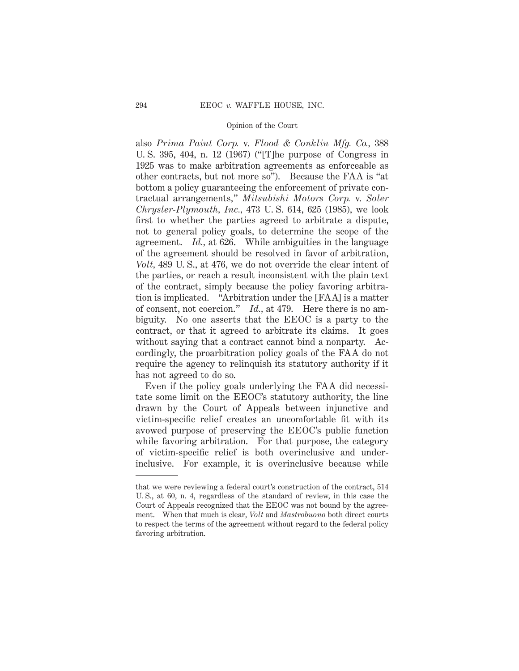also *Prima Paint Corp.* v. *Flood & Conklin Mfg. Co.,* 388 U. S. 395, 404, n. 12 (1967) ("[T]he purpose of Congress in 1925 was to make arbitration agreements as enforceable as other contracts, but not more so"). Because the FAA is "at bottom a policy guaranteeing the enforcement of private contractual arrangements," *Mitsubishi Motors Corp.* v. *Soler Chrysler-Plymouth, Inc.,* 473 U. S. 614, 625 (1985), we look first to whether the parties agreed to arbitrate a dispute, not to general policy goals, to determine the scope of the agreement. *Id.,* at 626. While ambiguities in the language of the agreement should be resolved in favor of arbitration, *Volt,* 489 U. S., at 476, we do not override the clear intent of the parties, or reach a result inconsistent with the plain text of the contract, simply because the policy favoring arbitration is implicated. "Arbitration under the [FAA] is a matter of consent, not coercion." *Id.,* at 479. Here there is no ambiguity. No one asserts that the EEOC is a party to the contract, or that it agreed to arbitrate its claims. It goes without saying that a contract cannot bind a nonparty. Accordingly, the proarbitration policy goals of the FAA do not require the agency to relinquish its statutory authority if it has not agreed to do so.

Even if the policy goals underlying the FAA did necessitate some limit on the EEOC's statutory authority, the line drawn by the Court of Appeals between injunctive and victim-specific relief creates an uncomfortable fit with its avowed purpose of preserving the EEOC's public function while favoring arbitration. For that purpose, the category of victim-specific relief is both overinclusive and underinclusive. For example, it is overinclusive because while

that we were reviewing a federal court's construction of the contract, 514 U. S., at 60, n. 4, regardless of the standard of review, in this case the Court of Appeals recognized that the EEOC was not bound by the agreement. When that much is clear, *Volt* and *Mastrobuono* both direct courts to respect the terms of the agreement without regard to the federal policy favoring arbitration.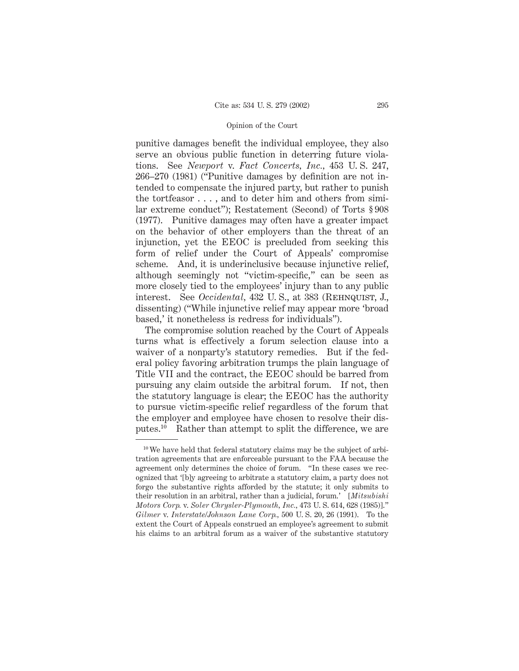punitive damages benefit the individual employee, they also serve an obvious public function in deterring future violations. See *Newport* v. *Fact Concerts, Inc.,* 453 U. S. 247, 266–270 (1981) ("Punitive damages by definition are not intended to compensate the injured party, but rather to punish the tortfeasor . . . , and to deter him and others from similar extreme conduct"); Restatement (Second) of Torts § 908 (1977). Punitive damages may often have a greater impact on the behavior of other employers than the threat of an injunction, yet the EEOC is precluded from seeking this form of relief under the Court of Appeals' compromise scheme. And, it is underinclusive because injunctive relief, although seemingly not "victim-specific," can be seen as more closely tied to the employees' injury than to any public interest. See *Occidental*, 432 U.S., at 383 (REHNQUIST, J., dissenting) ("While injunctive relief may appear more 'broad based,' it nonetheless is redress for individuals").

The compromise solution reached by the Court of Appeals turns what is effectively a forum selection clause into a waiver of a nonparty's statutory remedies. But if the federal policy favoring arbitration trumps the plain language of Title VII and the contract, the EEOC should be barred from pursuing any claim outside the arbitral forum. If not, then the statutory language is clear; the EEOC has the authority to pursue victim-specific relief regardless of the forum that the employer and employee have chosen to resolve their disputes.10 Rather than attempt to split the difference, we are

 $10$  We have held that federal statutory claims may be the subject of arbitration agreements that are enforceable pursuant to the FAA because the agreement only determines the choice of forum. "In these cases we recognized that '[b]y agreeing to arbitrate a statutory claim, a party does not forgo the substantive rights afforded by the statute; it only submits to their resolution in an arbitral, rather than a judicial, forum.' [*Mitsubishi Motors Corp.* v. *Soler Chrysler-Plymouth, Inc.,* 473 U. S. 614, 628 (1985)]." *Gilmer* v. *Interstate/Johnson Lane Corp.,* 500 U. S. 20, 26 (1991). To the extent the Court of Appeals construed an employee's agreement to submit his claims to an arbitral forum as a waiver of the substantive statutory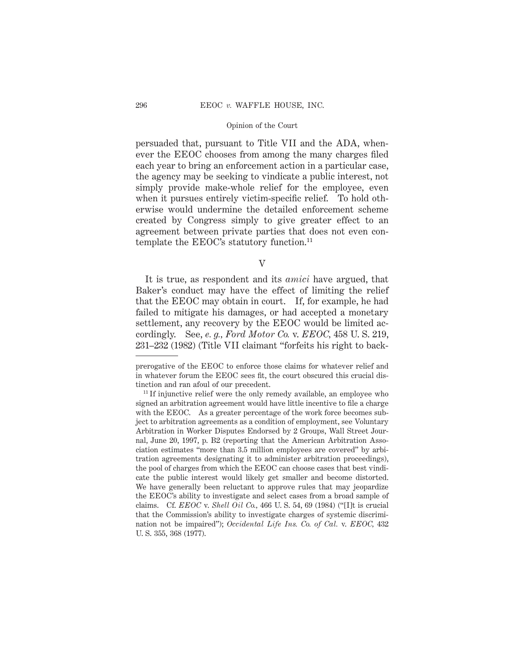persuaded that, pursuant to Title VII and the ADA, whenever the EEOC chooses from among the many charges filed each year to bring an enforcement action in a particular case, the agency may be seeking to vindicate a public interest, not simply provide make-whole relief for the employee, even when it pursues entirely victim-specific relief. To hold otherwise would undermine the detailed enforcement scheme created by Congress simply to give greater effect to an agreement between private parties that does not even contemplate the EEOC's statutory function.<sup>11</sup>

V

It is true, as respondent and its *amici* have argued, that Baker's conduct may have the effect of limiting the relief that the EEOC may obtain in court. If, for example, he had failed to mitigate his damages, or had accepted a monetary settlement, any recovery by the EEOC would be limited accordingly. See, *e. g., Ford Motor Co.* v. *EEOC,* 458 U. S. 219, 231–232 (1982) (Title VII claimant "forfeits his right to back-

prerogative of the EEOC to enforce those claims for whatever relief and in whatever forum the EEOC sees fit, the court obscured this crucial distinction and ran afoul of our precedent.

<sup>&</sup>lt;sup>11</sup> If injunctive relief were the only remedy available, an employee who signed an arbitration agreement would have little incentive to file a charge with the EEOC. As a greater percentage of the work force becomes subject to arbitration agreements as a condition of employment, see Voluntary Arbitration in Worker Disputes Endorsed by 2 Groups, Wall Street Journal, June 20, 1997, p. B2 (reporting that the American Arbitration Association estimates "more than 3.5 million employees are covered" by arbitration agreements designating it to administer arbitration proceedings), the pool of charges from which the EEOC can choose cases that best vindicate the public interest would likely get smaller and become distorted. We have generally been reluctant to approve rules that may jeopardize the EEOC's ability to investigate and select cases from a broad sample of claims. Cf. *EEOC* v. *Shell Oil Co.,* 466 U. S. 54, 69 (1984) ("[I]t is crucial that the Commission's ability to investigate charges of systemic discrimination not be impaired"); *Occidental Life Ins. Co. of Cal.* v. *EEOC,* 432 U. S. 355, 368 (1977).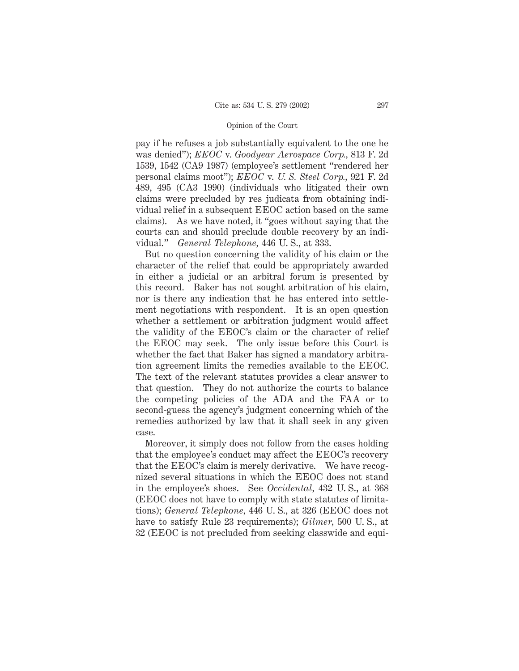pay if he refuses a job substantially equivalent to the one he was denied"); *EEOC* v. *Goodyear Aerospace Corp.,* 813 F. 2d 1539, 1542 (CA9 1987) (employee's settlement "rendered her personal claims moot"); *EEOC* v. *U. S. Steel Corp.,* 921 F. 2d 489, 495 (CA3 1990) (individuals who litigated their own claims were precluded by res judicata from obtaining individual relief in a subsequent EEOC action based on the same claims). As we have noted, it "goes without saying that the courts can and should preclude double recovery by an individual." *General Telephone,* 446 U. S., at 333.

But no question concerning the validity of his claim or the character of the relief that could be appropriately awarded in either a judicial or an arbitral forum is presented by this record. Baker has not sought arbitration of his claim, nor is there any indication that he has entered into settlement negotiations with respondent. It is an open question whether a settlement or arbitration judgment would affect the validity of the EEOC's claim or the character of relief the EEOC may seek. The only issue before this Court is whether the fact that Baker has signed a mandatory arbitration agreement limits the remedies available to the EEOC. The text of the relevant statutes provides a clear answer to that question. They do not authorize the courts to balance the competing policies of the ADA and the FAA or to second-guess the agency's judgment concerning which of the remedies authorized by law that it shall seek in any given case.

Moreover, it simply does not follow from the cases holding that the employee's conduct may affect the EEOC's recovery that the EEOC's claim is merely derivative. We have recognized several situations in which the EEOC does not stand in the employee's shoes. See *Occidental,* 432 U. S., at 368 (EEOC does not have to comply with state statutes of limitations); *General Telephone,* 446 U. S., at 326 (EEOC does not have to satisfy Rule 23 requirements); *Gilmer,* 500 U. S., at 32 (EEOC is not precluded from seeking classwide and equi-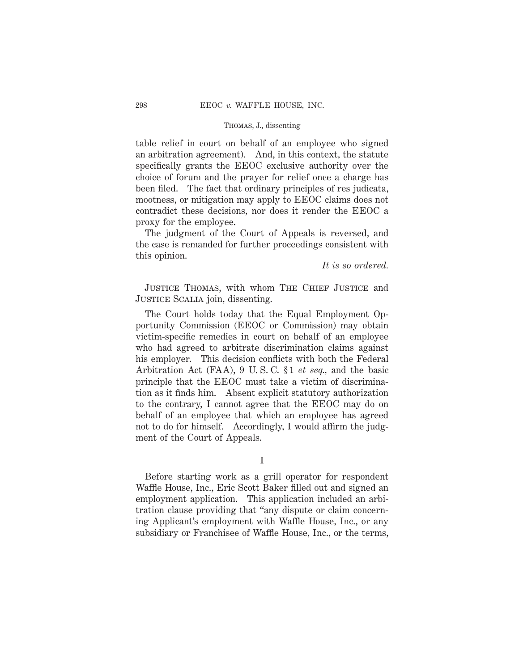table relief in court on behalf of an employee who signed an arbitration agreement). And, in this context, the statute specifically grants the EEOC exclusive authority over the choice of forum and the prayer for relief once a charge has been filed. The fact that ordinary principles of res judicata, mootness, or mitigation may apply to EEOC claims does not contradict these decisions, nor does it render the EEOC a proxy for the employee.

The judgment of the Court of Appeals is reversed, and the case is remanded for further proceedings consistent with this opinion.

*It is so ordered.*

JUSTICE THOMAS, with whom THE CHIEF JUSTICE and JUSTICE SCALIA join, dissenting.

The Court holds today that the Equal Employment Opportunity Commission (EEOC or Commission) may obtain victim-specific remedies in court on behalf of an employee who had agreed to arbitrate discrimination claims against his employer. This decision conflicts with both the Federal Arbitration Act (FAA), 9 U. S. C. § 1 *et seq.,* and the basic principle that the EEOC must take a victim of discrimination as it finds him. Absent explicit statutory authorization to the contrary, I cannot agree that the EEOC may do on behalf of an employee that which an employee has agreed not to do for himself. Accordingly, I would affirm the judgment of the Court of Appeals.

I

Before starting work as a grill operator for respondent Waffle House, Inc., Eric Scott Baker filled out and signed an employment application. This application included an arbitration clause providing that "any dispute or claim concerning Applicant's employment with Waffle House, Inc., or any subsidiary or Franchisee of Waffle House, Inc., or the terms,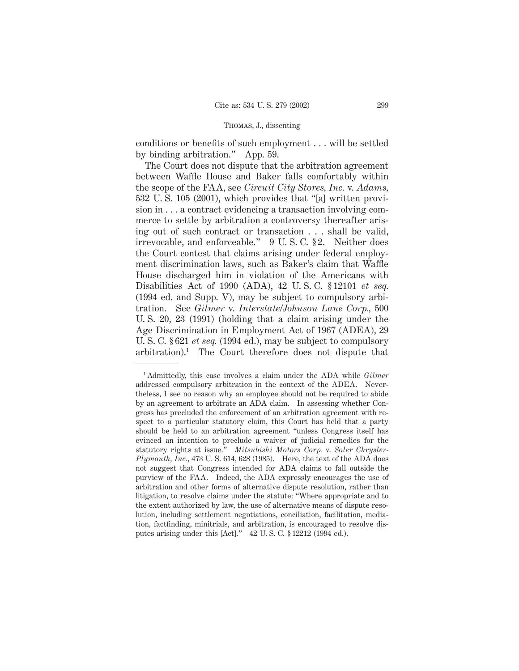conditions or benefits of such employment . . . will be settled by binding arbitration." App. 59.

The Court does not dispute that the arbitration agreement between Waffle House and Baker falls comfortably within the scope of the FAA, see *Circuit City Stores, Inc.* v. *Adams,* 532 U. S. 105 (2001), which provides that "[a] written provision in . . . a contract evidencing a transaction involving commerce to settle by arbitration a controversy thereafter arising out of such contract or transaction . . . shall be valid, irrevocable, and enforceable." 9 U. S. C. § 2. Neither does the Court contest that claims arising under federal employment discrimination laws, such as Baker's claim that Waffle House discharged him in violation of the Americans with Disabilities Act of 1990 (ADA), 42 U. S. C. § 12101 *et seq.* (1994 ed. and Supp. V), may be subject to compulsory arbitration. See *Gilmer* v. *Interstate/Johnson Lane Corp.,* 500 U. S. 20, 23 (1991) (holding that a claim arising under the Age Discrimination in Employment Act of 1967 (ADEA), 29 U. S. C. § 621 *et seq.* (1994 ed.), may be subject to compulsory arbitration).1 The Court therefore does not dispute that

<sup>1</sup> Admittedly, this case involves a claim under the ADA while *Gilmer* addressed compulsory arbitration in the context of the ADEA. Nevertheless, I see no reason why an employee should not be required to abide by an agreement to arbitrate an ADA claim. In assessing whether Congress has precluded the enforcement of an arbitration agreement with respect to a particular statutory claim, this Court has held that a party should be held to an arbitration agreement "unless Congress itself has evinced an intention to preclude a waiver of judicial remedies for the statutory rights at issue." *Mitsubishi Motors Corp.* v. *Soler Chrysler-Plymouth, Inc.,* 473 U. S. 614, 628 (1985). Here, the text of the ADA does not suggest that Congress intended for ADA claims to fall outside the purview of the FAA. Indeed, the ADA expressly encourages the use of arbitration and other forms of alternative dispute resolution, rather than litigation, to resolve claims under the statute: "Where appropriate and to the extent authorized by law, the use of alternative means of dispute resolution, including settlement negotiations, conciliation, facilitation, mediation, factfinding, minitrials, and arbitration, is encouraged to resolve disputes arising under this [Act]." 42 U. S. C. § 12212 (1994 ed.).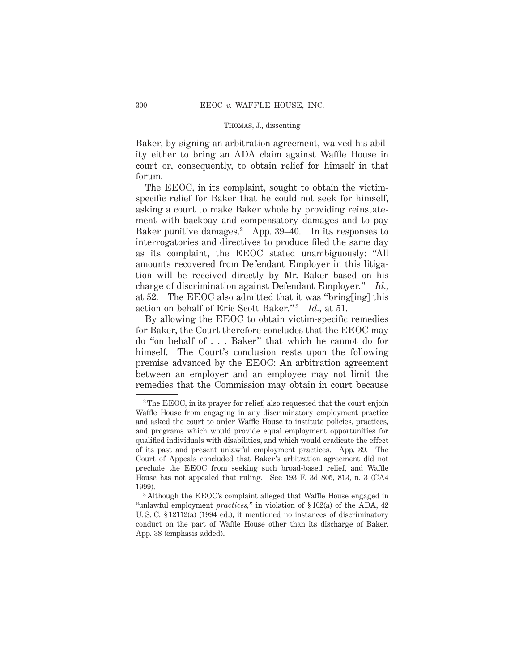Baker, by signing an arbitration agreement, waived his ability either to bring an ADA claim against Waffle House in court or, consequently, to obtain relief for himself in that forum.

The EEOC, in its complaint, sought to obtain the victimspecific relief for Baker that he could not seek for himself, asking a court to make Baker whole by providing reinstatement with backpay and compensatory damages and to pay Baker punitive damages.<sup>2</sup> App. 39–40. In its responses to interrogatories and directives to produce filed the same day as its complaint, the EEOC stated unambiguously: "All amounts recovered from Defendant Employer in this litigation will be received directly by Mr. Baker based on his charge of discrimination against Defendant Employer." *Id.,* at 52. The EEOC also admitted that it was "bring[ing] this action on behalf of Eric Scott Baker."<sup>3</sup> *Id.*, at 51.

By allowing the EEOC to obtain victim-specific remedies for Baker, the Court therefore concludes that the EEOC may do "on behalf of... Baker" that which he cannot do for himself. The Court's conclusion rests upon the following premise advanced by the EEOC: An arbitration agreement between an employer and an employee may not limit the remedies that the Commission may obtain in court because

<sup>2</sup> The EEOC, in its prayer for relief, also requested that the court enjoin Waffle House from engaging in any discriminatory employment practice and asked the court to order Waffle House to institute policies, practices, and programs which would provide equal employment opportunities for qualified individuals with disabilities, and which would eradicate the effect of its past and present unlawful employment practices. App. 39. The Court of Appeals concluded that Baker's arbitration agreement did not preclude the EEOC from seeking such broad-based relief, and Waffle House has not appealed that ruling. See 193 F. 3d 805, 813, n. 3 (CA4 1999).

<sup>&</sup>lt;sup>3</sup> Although the EEOC's complaint alleged that Waffle House engaged in "unlawful employment *practices,*" in violation of § 102(a) of the ADA, 42 U. S. C. § 12112(a) (1994 ed.), it mentioned no instances of discriminatory conduct on the part of Waffle House other than its discharge of Baker. App. 38 (emphasis added).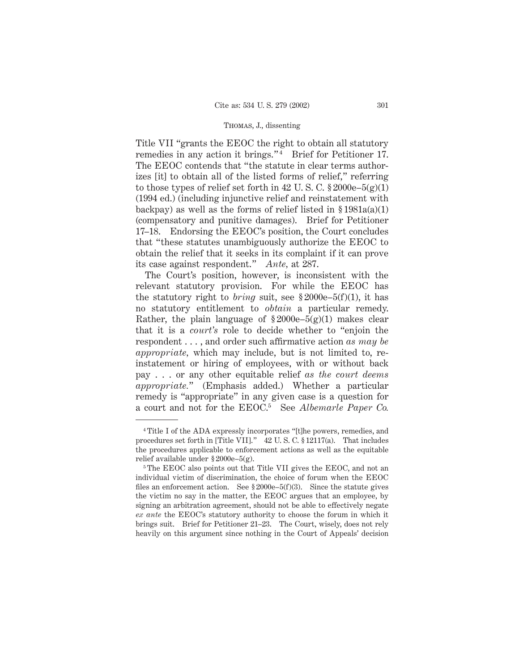Title VII "grants the EEOC the right to obtain all statutory remedies in any action it brings."<sup>4</sup> Brief for Petitioner 17. The EEOC contends that "the statute in clear terms authorizes [it] to obtain all of the listed forms of relief," referring to those types of relief set forth in 42 U.S.C.  $\S 2000e-5(g)(1)$ (1994 ed.) (including injunctive relief and reinstatement with backpay) as well as the forms of relief listed in  $\S 1981a(a)(1)$ (compensatory and punitive damages). Brief for Petitioner 17–18. Endorsing the EEOC's position, the Court concludes that "these statutes unambiguously authorize the EEOC to obtain the relief that it seeks in its complaint if it can prove its case against respondent." *Ante,* at 287.

The Court's position, however, is inconsistent with the relevant statutory provision. For while the EEOC has the statutory right to *bring* suit, see  $$2000e-5(f)(1)$ , it has no statutory entitlement to *obtain* a particular remedy. Rather, the plain language of  $$2000e-5(g)(1)$  makes clear that it is a *court's* role to decide whether to "enjoin the respondent . . . , and order such affirmative action *as may be appropriate,* which may include, but is not limited to, reinstatement or hiring of employees, with or without back pay . . . or any other equitable relief *as the court deems appropriate.*" (Emphasis added.) Whether a particular remedy is "appropriate" in any given case is a question for a court and not for the EEOC.5 See *Albemarle Paper Co.*

<sup>4</sup> Title I of the ADA expressly incorporates "[t]he powers, remedies, and procedures set forth in [Title VII]." 42 U. S. C. § 12117(a). That includes the procedures applicable to enforcement actions as well as the equitable relief available under  $§ 2000e-5(g)$ .

<sup>5</sup> The EEOC also points out that Title VII gives the EEOC, and not an individual victim of discrimination, the choice of forum when the EEOC files an enforcement action. See  $\S 2000e-5(f)(3)$ . Since the statute gives the victim no say in the matter, the EEOC argues that an employee, by signing an arbitration agreement, should not be able to effectively negate *ex ante* the EEOC's statutory authority to choose the forum in which it brings suit. Brief for Petitioner 21–23. The Court, wisely, does not rely heavily on this argument since nothing in the Court of Appeals' decision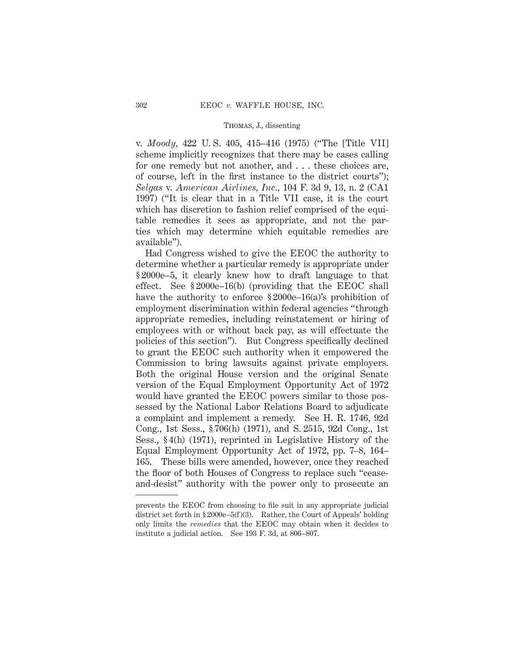v. *Moody,* 422 U. S. 405, 415–416 (1975) ("The [Title VII] scheme implicitly recognizes that there may be cases calling for one remedy but not another, and . . . these choices are, of course, left in the first instance to the district courts"); *Selgas* v. *American Airlines, Inc.,* 104 F. 3d 9, 13, n. 2 (CA1 1997) ("It is clear that in a Title VII case, it is the court which has discretion to fashion relief comprised of the equitable remedies it sees as appropriate, and not the parties which may determine which equitable remedies are available").

Had Congress wished to give the EEOC the authority to determine whether a particular remedy is appropriate under § 2000e–5, it clearly knew how to draft language to that effect. See § 2000e–16(b) (providing that the EEOC shall have the authority to enforce § 2000e–16(a)'s prohibition of employment discrimination within federal agencies "through appropriate remedies, including reinstatement or hiring of employees with or without back pay, as will effectuate the policies of this section"). But Congress specifically declined to grant the EEOC such authority when it empowered the Commission to bring lawsuits against private employers. Both the original House version and the original Senate version of the Equal Employment Opportunity Act of 1972 would have granted the EEOC powers similar to those possessed by the National Labor Relations Board to adjudicate a complaint and implement a remedy. See H. R. 1746, 92d Cong., 1st Sess., § 706(h) (1971), and S. 2515, 92d Cong., 1st Sess., § 4(h) (1971), reprinted in Legislative History of the Equal Employment Opportunity Act of 1972, pp. 7–8, 164– 165. These bills were amended, however, once they reached the floor of both Houses of Congress to replace such "ceaseand-desist" authority with the power only to prosecute an

prevents the EEOC from choosing to file suit in any appropriate judicial district set forth in § 2000e–5(f)(3). Rather, the Court of Appeals' holding only limits the *remedies* that the EEOC may obtain when it decides to institute a judicial action. See 193 F. 3d, at 806–807.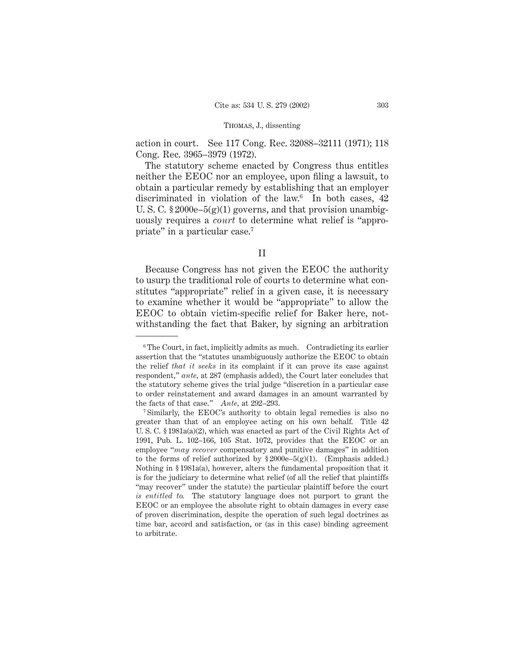action in court. See 117 Cong. Rec. 32088–32111 (1971); 118 Cong. Rec. 3965–3979 (1972).

The statutory scheme enacted by Congress thus entitles neither the EEOC nor an employee, upon filing a lawsuit, to obtain a particular remedy by establishing that an employer discriminated in violation of the law.<sup>6</sup> In both cases,  $42$ U. S. C.  $$2000e-5(g)(1)$  governs, and that provision unambiguously requires a *court* to determine what relief is "appropriate" in a particular case.7

II

Because Congress has not given the EEOC the authority to usurp the traditional role of courts to determine what constitutes "appropriate" relief in a given case, it is necessary to examine whether it would be "appropriate" to allow the EEOC to obtain victim-specific relief for Baker here, notwithstanding the fact that Baker, by signing an arbitration

<sup>&</sup>lt;sup>6</sup> The Court, in fact, implicitly admits as much. Contradicting its earlier assertion that the "statutes unambiguously authorize the EEOC to obtain the relief *that it seeks* in its complaint if it can prove its case against respondent," *ante,* at 287 (emphasis added), the Court later concludes that the statutory scheme gives the trial judge "discretion in a particular case to order reinstatement and award damages in an amount warranted by the facts of that case." *Ante,* at 292–293.

<sup>7</sup> Similarly, the EEOC's authority to obtain legal remedies is also no greater than that of an employee acting on his own behalf. Title 42 U. S. C. § 1981a(a)(2), which was enacted as part of the Civil Rights Act of 1991, Pub. L. 102–166, 105 Stat. 1072, provides that the EEOC or an employee "*may recover* compensatory and punitive damages" in addition to the forms of relief authorized by  $\S 2000e-5(g)(1)$ . (Emphasis added.) Nothing in § 1981a(a), however, alters the fundamental proposition that it is for the judiciary to determine what relief (of all the relief that plaintiffs "may recover" under the statute) the particular plaintiff before the court *is entitled to.* The statutory language does not purport to grant the EEOC or an employee the absolute right to obtain damages in every case of proven discrimination, despite the operation of such legal doctrines as time bar, accord and satisfaction, or (as in this case) binding agreement to arbitrate.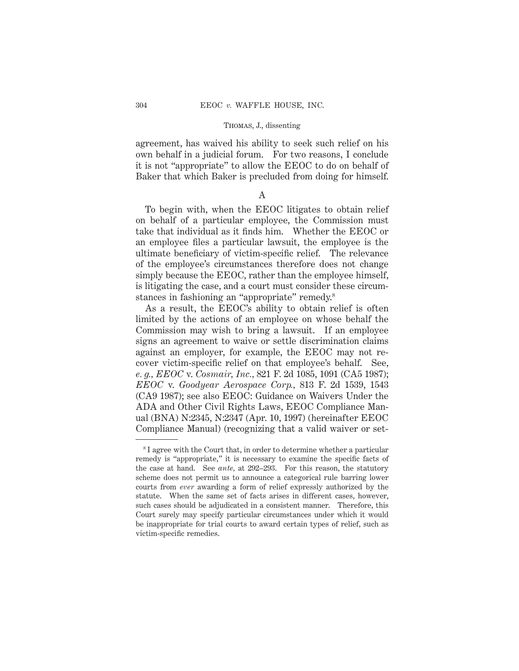agreement, has waived his ability to seek such relief on his own behalf in a judicial forum. For two reasons, I conclude it is not "appropriate" to allow the EEOC to do on behalf of Baker that which Baker is precluded from doing for himself.

### A

To begin with, when the EEOC litigates to obtain relief on behalf of a particular employee, the Commission must take that individual as it finds him. Whether the EEOC or an employee files a particular lawsuit, the employee is the ultimate beneficiary of victim-specific relief. The relevance of the employee's circumstances therefore does not change simply because the EEOC, rather than the employee himself, is litigating the case, and a court must consider these circumstances in fashioning an "appropriate" remedy.<sup>8</sup>

As a result, the EEOC's ability to obtain relief is often limited by the actions of an employee on whose behalf the Commission may wish to bring a lawsuit. If an employee signs an agreement to waive or settle discrimination claims against an employer, for example, the EEOC may not recover victim-specific relief on that employee's behalf. See, *e. g., EEOC* v. *Cosmair, Inc.,* 821 F. 2d 1085, 1091 (CA5 1987); *EEOC* v. *Goodyear Aerospace Corp.,* 813 F. 2d 1539, 1543 (CA9 1987); see also EEOC: Guidance on Waivers Under the ADA and Other Civil Rights Laws, EEOC Compliance Manual (BNA) N:2345, N:2347 (Apr. 10, 1997) (hereinafter EEOC Compliance Manual) (recognizing that a valid waiver or set-

<sup>8</sup> I agree with the Court that, in order to determine whether a particular remedy is "appropriate," it is necessary to examine the specific facts of the case at hand. See *ante,* at 292–293. For this reason, the statutory scheme does not permit us to announce a categorical rule barring lower courts from *ever* awarding a form of relief expressly authorized by the statute. When the same set of facts arises in different cases, however, such cases should be adjudicated in a consistent manner. Therefore, this Court surely may specify particular circumstances under which it would be inappropriate for trial courts to award certain types of relief, such as victim-specific remedies.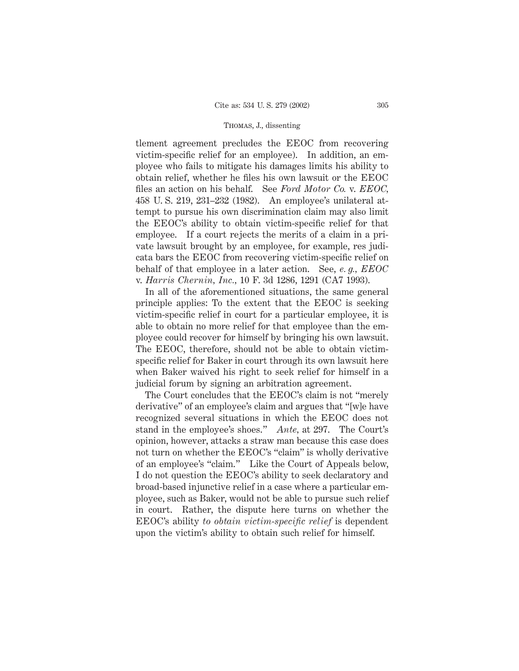tlement agreement precludes the EEOC from recovering victim-specific relief for an employee). In addition, an employee who fails to mitigate his damages limits his ability to obtain relief, whether he files his own lawsuit or the EEOC files an action on his behalf. See *Ford Motor Co.* v. *EEOC,* 458 U. S. 219, 231–232 (1982). An employee's unilateral attempt to pursue his own discrimination claim may also limit the EEOC's ability to obtain victim-specific relief for that employee. If a court rejects the merits of a claim in a private lawsuit brought by an employee, for example, res judicata bars the EEOC from recovering victim-specific relief on behalf of that employee in a later action. See, *e. g., EEOC* v. *Harris Chernin, Inc.,* 10 F. 3d 1286, 1291 (CA7 1993).

In all of the aforementioned situations, the same general principle applies: To the extent that the EEOC is seeking victim-specific relief in court for a particular employee, it is able to obtain no more relief for that employee than the employee could recover for himself by bringing his own lawsuit. The EEOC, therefore, should not be able to obtain victimspecific relief for Baker in court through its own lawsuit here when Baker waived his right to seek relief for himself in a judicial forum by signing an arbitration agreement.

The Court concludes that the EEOC's claim is not "merely derivative" of an employee's claim and argues that "[w]e have recognized several situations in which the EEOC does not stand in the employee's shoes." *Ante,* at 297. The Court's opinion, however, attacks a straw man because this case does not turn on whether the EEOC's "claim" is wholly derivative of an employee's "claim." Like the Court of Appeals below, I do not question the EEOC's ability to seek declaratory and broad-based injunctive relief in a case where a particular employee, such as Baker, would not be able to pursue such relief in court. Rather, the dispute here turns on whether the EEOC's ability *to obtain victim-specific relief* is dependent upon the victim's ability to obtain such relief for himself.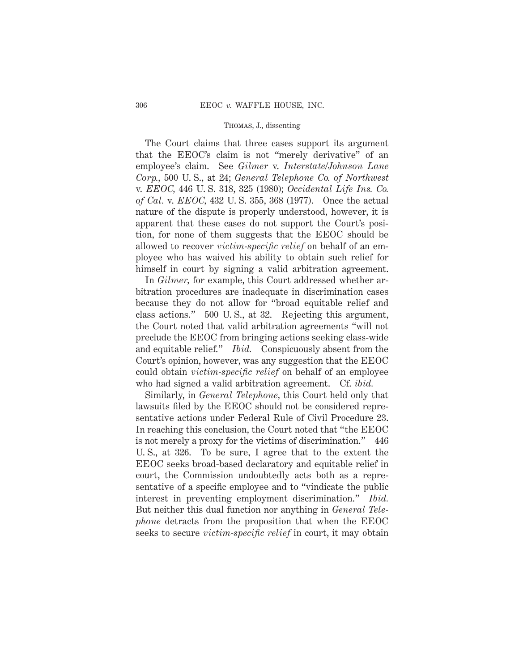The Court claims that three cases support its argument that the EEOC's claim is not "merely derivative" of an employee's claim. See *Gilmer* v. *Interstate/Johnson Lane Corp.,* 500 U. S., at 24; *General Telephone Co. of Northwest* v. *EEOC,* 446 U. S. 318, 325 (1980); *Occidental Life Ins. Co. of Cal.* v. *EEOC,* 432 U. S. 355, 368 (1977). Once the actual nature of the dispute is properly understood, however, it is apparent that these cases do not support the Court's position, for none of them suggests that the EEOC should be allowed to recover *victim-specific relief* on behalf of an employee who has waived his ability to obtain such relief for himself in court by signing a valid arbitration agreement.

In *Gilmer,* for example, this Court addressed whether arbitration procedures are inadequate in discrimination cases because they do not allow for "broad equitable relief and class actions." 500 U. S., at 32. Rejecting this argument, the Court noted that valid arbitration agreements "will not preclude the EEOC from bringing actions seeking class-wide and equitable relief." *Ibid.* Conspicuously absent from the Court's opinion, however, was any suggestion that the EEOC could obtain *victim-specific relief* on behalf of an employee who had signed a valid arbitration agreement. Cf. *ibid.*

Similarly, in *General Telephone,* this Court held only that lawsuits filed by the EEOC should not be considered representative actions under Federal Rule of Civil Procedure 23. In reaching this conclusion, the Court noted that "the EEOC is not merely a proxy for the victims of discrimination." 446 U. S., at 326. To be sure, I agree that to the extent the EEOC seeks broad-based declaratory and equitable relief in court, the Commission undoubtedly acts both as a representative of a specific employee and to "vindicate the public interest in preventing employment discrimination." *Ibid.* But neither this dual function nor anything in *General Telephone* detracts from the proposition that when the EEOC seeks to secure *victim-specific relief* in court, it may obtain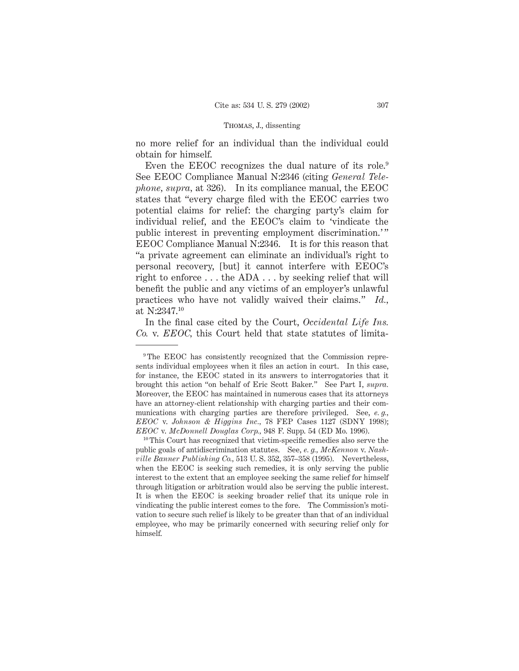no more relief for an individual than the individual could obtain for himself.

Even the EEOC recognizes the dual nature of its role.<sup>9</sup> See EEOC Compliance Manual N:2346 (citing *General Telephone, supra,* at 326). In its compliance manual, the EEOC states that "every charge filed with the EEOC carries two potential claims for relief: the charging party's claim for individual relief, and the EEOC's claim to 'vindicate the public interest in preventing employment discrimination.' " EEOC Compliance Manual N:2346. It is for this reason that "a private agreement can eliminate an individual's right to personal recovery, [but] it cannot interfere with EEOC's right to enforce . . . the ADA . . . by seeking relief that will benefit the public and any victims of an employer's unlawful practices who have not validly waived their claims." *Id.,* at N:2347.10

In the final case cited by the Court, *Occidental Life Ins. Co.* v. *EEOC,* this Court held that state statutes of limita-

<sup>9</sup> The EEOC has consistently recognized that the Commission represents individual employees when it files an action in court. In this case, for instance, the EEOC stated in its answers to interrogatories that it brought this action "on behalf of Eric Scott Baker." See Part I, *supra.* Moreover, the EEOC has maintained in numerous cases that its attorneys have an attorney-client relationship with charging parties and their communications with charging parties are therefore privileged. See, *e. g., EEOC* v. *Johnson & Higgins Inc.,* 78 FEP Cases 1127 (SDNY 1998); *EEOC* v. *McDonnell Douglas Corp.,* 948 F. Supp. 54 (ED Mo. 1996).

<sup>&</sup>lt;sup>10</sup> This Court has recognized that victim-specific remedies also serve the public goals of antidiscrimination statutes. See, *e. g., McKennon* v. *Nashville Banner Publishing Co.,* 513 U. S. 352, 357–358 (1995). Nevertheless, when the EEOC is seeking such remedies, it is only serving the public interest to the extent that an employee seeking the same relief for himself through litigation or arbitration would also be serving the public interest. It is when the EEOC is seeking broader relief that its unique role in vindicating the public interest comes to the fore. The Commission's motivation to secure such relief is likely to be greater than that of an individual employee, who may be primarily concerned with securing relief only for himself.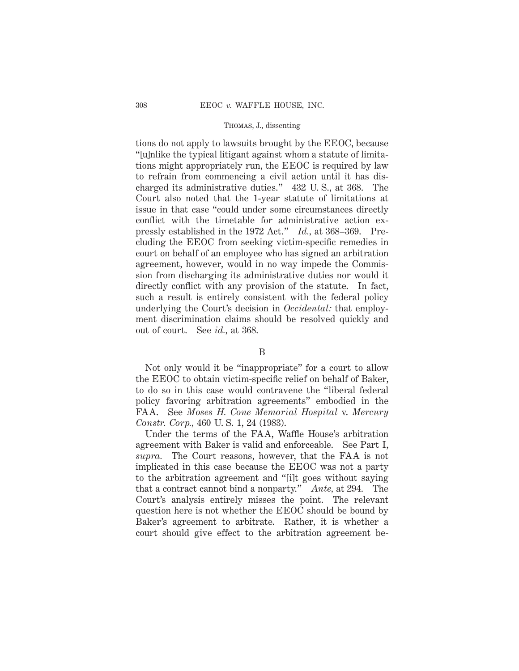tions do not apply to lawsuits brought by the EEOC, because "[u]nlike the typical litigant against whom a statute of limitations might appropriately run, the EEOC is required by law to refrain from commencing a civil action until it has discharged its administrative duties." 432 U. S., at 368. The Court also noted that the 1-year statute of limitations at issue in that case "could under some circumstances directly conflict with the timetable for administrative action expressly established in the 1972 Act." *Id.,* at 368–369. Precluding the EEOC from seeking victim-specific remedies in court on behalf of an employee who has signed an arbitration agreement, however, would in no way impede the Commission from discharging its administrative duties nor would it directly conflict with any provision of the statute. In fact, such a result is entirely consistent with the federal policy underlying the Court's decision in *Occidental:* that employment discrimination claims should be resolved quickly and out of court. See *id.,* at 368.

### B

Not only would it be "inappropriate" for a court to allow the EEOC to obtain victim-specific relief on behalf of Baker, to do so in this case would contravene the "liberal federal policy favoring arbitration agreements" embodied in the FAA. See *Moses H. Cone Memorial Hospital* v. *Mercury Constr. Corp.,* 460 U. S. 1, 24 (1983).

Under the terms of the FAA, Waffle House's arbitration agreement with Baker is valid and enforceable. See Part I, *supra.* The Court reasons, however, that the FAA is not implicated in this case because the EEOC was not a party to the arbitration agreement and "[i]t goes without saying that a contract cannot bind a nonparty." *Ante,* at 294. The Court's analysis entirely misses the point. The relevant question here is not whether the EEOC should be bound by Baker's agreement to arbitrate. Rather, it is whether a court should give effect to the arbitration agreement be-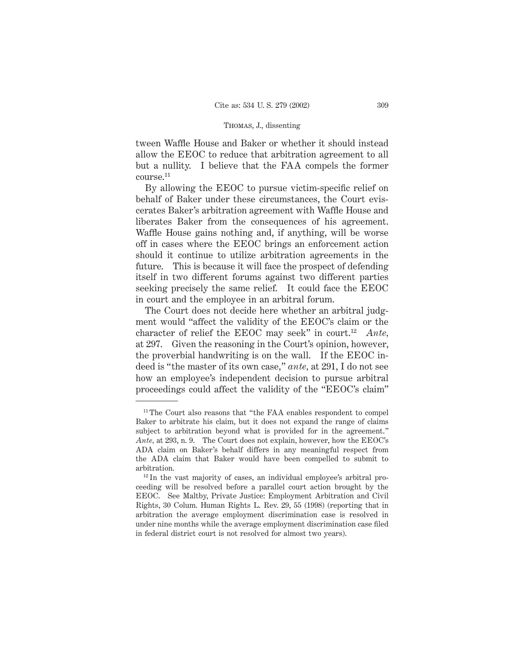tween Waffle House and Baker or whether it should instead allow the EEOC to reduce that arbitration agreement to all but a nullity. I believe that the FAA compels the former course.11

By allowing the EEOC to pursue victim-specific relief on behalf of Baker under these circumstances, the Court eviscerates Baker's arbitration agreement with Waffle House and liberates Baker from the consequences of his agreement. Waffle House gains nothing and, if anything, will be worse off in cases where the EEOC brings an enforcement action should it continue to utilize arbitration agreements in the future. This is because it will face the prospect of defending itself in two different forums against two different parties seeking precisely the same relief. It could face the EEOC in court and the employee in an arbitral forum.

The Court does not decide here whether an arbitral judgment would "affect the validity of the EEOC's claim or the character of relief the EEOC may seek" in court.12 *Ante,* at 297. Given the reasoning in the Court's opinion, however, the proverbial handwriting is on the wall. If the EEOC indeed is "the master of its own case," *ante,* at 291, I do not see how an employee's independent decision to pursue arbitral proceedings could affect the validity of the "EEOC's claim"

<sup>&</sup>lt;sup>11</sup> The Court also reasons that "the FAA enables respondent to compel Baker to arbitrate his claim, but it does not expand the range of claims subject to arbitration beyond what is provided for in the agreement." *Ante,* at 293, n. 9. The Court does not explain, however, how the EEOC's ADA claim on Baker's behalf differs in any meaningful respect from the ADA claim that Baker would have been compelled to submit to arbitration.

<sup>12</sup> In the vast majority of cases, an individual employee's arbitral proceeding will be resolved before a parallel court action brought by the EEOC. See Maltby, Private Justice: Employment Arbitration and Civil Rights, 30 Colum. Human Rights L. Rev. 29, 55 (1998) (reporting that in arbitration the average employment discrimination case is resolved in under nine months while the average employment discrimination case filed in federal district court is not resolved for almost two years).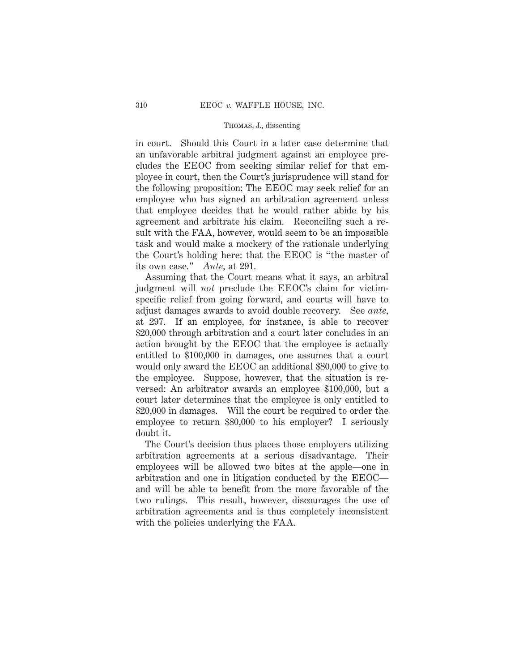in court. Should this Court in a later case determine that an unfavorable arbitral judgment against an employee precludes the EEOC from seeking similar relief for that employee in court, then the Court's jurisprudence will stand for the following proposition: The EEOC may seek relief for an employee who has signed an arbitration agreement unless that employee decides that he would rather abide by his agreement and arbitrate his claim. Reconciling such a result with the FAA, however, would seem to be an impossible task and would make a mockery of the rationale underlying the Court's holding here: that the EEOC is "the master of its own case." *Ante,* at 291.

Assuming that the Court means what it says, an arbitral judgment will *not* preclude the EEOC's claim for victimspecific relief from going forward, and courts will have to adjust damages awards to avoid double recovery. See *ante,* at 297. If an employee, for instance, is able to recover \$20,000 through arbitration and a court later concludes in an action brought by the EEOC that the employee is actually entitled to \$100,000 in damages, one assumes that a court would only award the EEOC an additional \$80,000 to give to the employee. Suppose, however, that the situation is reversed: An arbitrator awards an employee \$100,000, but a court later determines that the employee is only entitled to \$20,000 in damages. Will the court be required to order the employee to return \$80,000 to his employer? I seriously doubt it.

The Court's decision thus places those employers utilizing arbitration agreements at a serious disadvantage. Their employees will be allowed two bites at the apple—one in arbitration and one in litigation conducted by the EEOC and will be able to benefit from the more favorable of the two rulings. This result, however, discourages the use of arbitration agreements and is thus completely inconsistent with the policies underlying the FAA.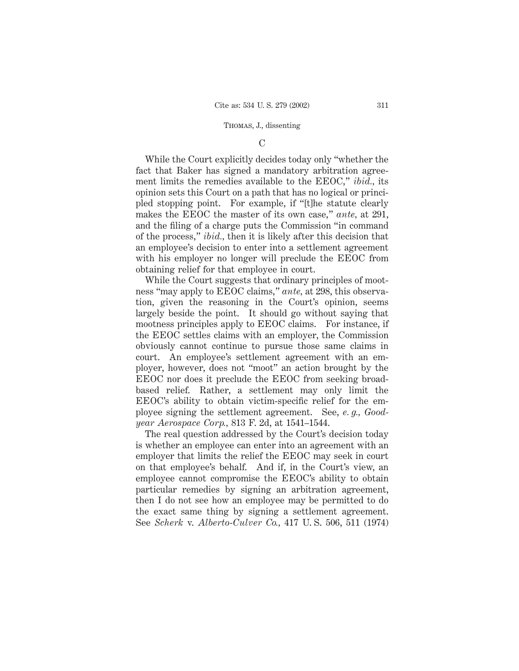### C

While the Court explicitly decides today only "whether the fact that Baker has signed a mandatory arbitration agreement limits the remedies available to the EEOC," *ibid.,* its opinion sets this Court on a path that has no logical or principled stopping point. For example, if "[t]he statute clearly makes the EEOC the master of its own case," *ante,* at 291, and the filing of a charge puts the Commission "in command of the process," *ibid.,* then it is likely after this decision that an employee's decision to enter into a settlement agreement with his employer no longer will preclude the EEOC from obtaining relief for that employee in court.

While the Court suggests that ordinary principles of mootness "may apply to EEOC claims," *ante,* at 298, this observation, given the reasoning in the Court's opinion, seems largely beside the point. It should go without saying that mootness principles apply to EEOC claims. For instance, if the EEOC settles claims with an employer, the Commission obviously cannot continue to pursue those same claims in court. An employee's settlement agreement with an employer, however, does not "moot" an action brought by the EEOC nor does it preclude the EEOC from seeking broadbased relief. Rather, a settlement may only limit the EEOC's ability to obtain victim-specific relief for the employee signing the settlement agreement. See, *e. g., Goodyear Aerospace Corp.,* 813 F. 2d, at 1541–1544.

The real question addressed by the Court's decision today is whether an employee can enter into an agreement with an employer that limits the relief the EEOC may seek in court on that employee's behalf. And if, in the Court's view, an employee cannot compromise the EEOC's ability to obtain particular remedies by signing an arbitration agreement, then I do not see how an employee may be permitted to do the exact same thing by signing a settlement agreement. See *Scherk* v. *Alberto-Culver Co.,* 417 U. S. 506, 511 (1974)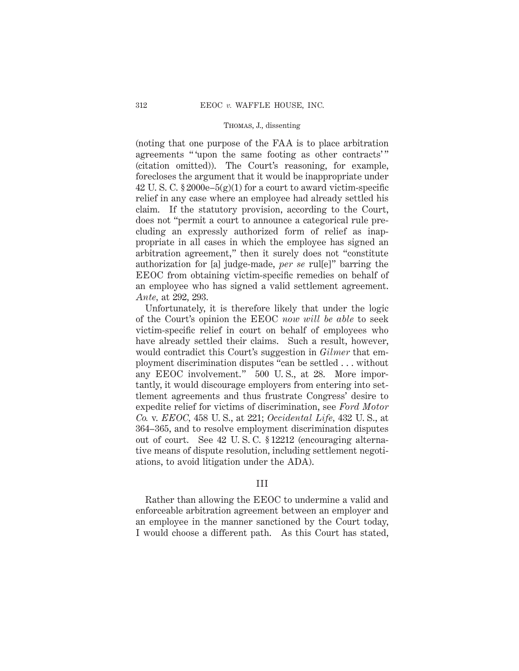(noting that one purpose of the FAA is to place arbitration agreements " upon the same footing as other contracts'" (citation omitted)). The Court's reasoning, for example, forecloses the argument that it would be inappropriate under 42 U.S.C.  $\S 2000e-5(g)(1)$  for a court to award victim-specific relief in any case where an employee had already settled his claim. If the statutory provision, according to the Court, does not "permit a court to announce a categorical rule precluding an expressly authorized form of relief as inappropriate in all cases in which the employee has signed an arbitration agreement," then it surely does not "constitute authorization for [a] judge-made, *per se* rul[e]" barring the EEOC from obtaining victim-specific remedies on behalf of an employee who has signed a valid settlement agreement. *Ante,* at 292, 293.

Unfortunately, it is therefore likely that under the logic of the Court's opinion the EEOC *now will be able* to seek victim-specific relief in court on behalf of employees who have already settled their claims. Such a result, however, would contradict this Court's suggestion in *Gilmer* that employment discrimination disputes "can be settled . . . without any EEOC involvement." 500 U. S., at 28. More importantly, it would discourage employers from entering into settlement agreements and thus frustrate Congress' desire to expedite relief for victims of discrimination, see *Ford Motor Co.* v. *EEOC,* 458 U. S., at 221; *Occidental Life,* 432 U. S., at 364–365, and to resolve employment discrimination disputes out of court. See 42 U. S. C. § 12212 (encouraging alternative means of dispute resolution, including settlement negotiations, to avoid litigation under the ADA).

### III

Rather than allowing the EEOC to undermine a valid and enforceable arbitration agreement between an employer and an employee in the manner sanctioned by the Court today, I would choose a different path. As this Court has stated,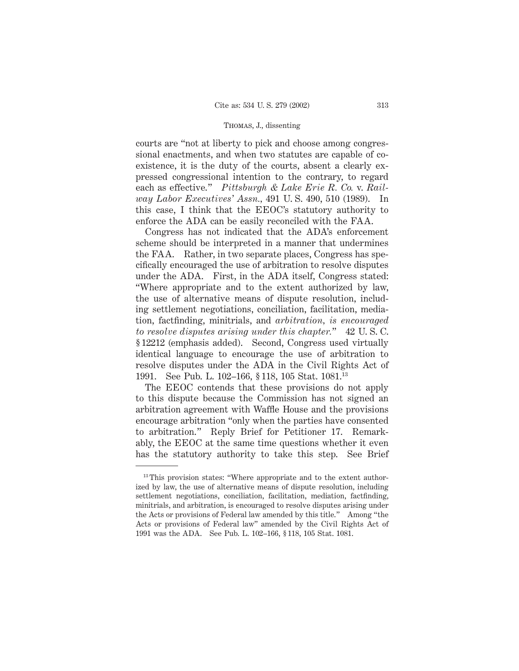courts are "not at liberty to pick and choose among congressional enactments, and when two statutes are capable of coexistence, it is the duty of the courts, absent a clearly expressed congressional intention to the contrary, to regard each as effective." *Pittsburgh & Lake Erie R. Co.* v. *Railway Labor Executives' Assn.,* 491 U. S. 490, 510 (1989). In this case, I think that the EEOC's statutory authority to enforce the ADA can be easily reconciled with the FAA.

Congress has not indicated that the ADA's enforcement scheme should be interpreted in a manner that undermines the FAA. Rather, in two separate places, Congress has specifically encouraged the use of arbitration to resolve disputes under the ADA. First, in the ADA itself, Congress stated: "Where appropriate and to the extent authorized by law, the use of alternative means of dispute resolution, including settlement negotiations, conciliation, facilitation, mediation, factfinding, minitrials, and *arbitration, is encouraged to resolve disputes arising under this chapter.*" 42 U. S. C. § 12212 (emphasis added). Second, Congress used virtually identical language to encourage the use of arbitration to resolve disputes under the ADA in the Civil Rights Act of 1991. See Pub. L. 102–166, § 118, 105 Stat. 1081.13

The EEOC contends that these provisions do not apply to this dispute because the Commission has not signed an arbitration agreement with Waffle House and the provisions encourage arbitration "only when the parties have consented to arbitration." Reply Brief for Petitioner 17. Remarkably, the EEOC at the same time questions whether it even has the statutory authority to take this step. See Brief

<sup>&</sup>lt;sup>13</sup> This provision states: "Where appropriate and to the extent authorized by law, the use of alternative means of dispute resolution, including settlement negotiations, conciliation, facilitation, mediation, factfinding, minitrials, and arbitration, is encouraged to resolve disputes arising under the Acts or provisions of Federal law amended by this title." Among "the Acts or provisions of Federal law" amended by the Civil Rights Act of 1991 was the ADA. See Pub. L. 102–166, § 118, 105 Stat. 1081.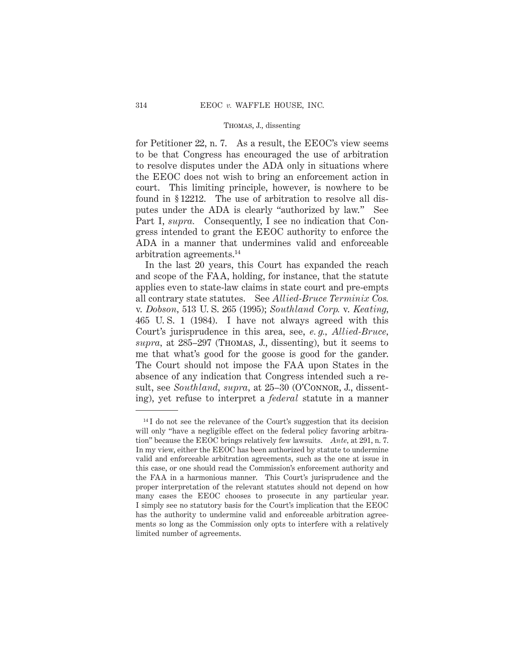for Petitioner 22, n. 7. As a result, the EEOC's view seems to be that Congress has encouraged the use of arbitration to resolve disputes under the ADA only in situations where the EEOC does not wish to bring an enforcement action in court. This limiting principle, however, is nowhere to be found in § 12212. The use of arbitration to resolve all disputes under the ADA is clearly "authorized by law." See Part I, *supra*. Consequently, I see no indication that Congress intended to grant the EEOC authority to enforce the ADA in a manner that undermines valid and enforceable arbitration agreements.14

In the last 20 years, this Court has expanded the reach and scope of the FAA, holding, for instance, that the statute applies even to state-law claims in state court and pre-empts all contrary state statutes. See *Allied-Bruce Terminix Cos.* v. *Dobson,* 513 U. S. 265 (1995); *Southland Corp.* v. *Keating,* 465 U. S. 1 (1984). I have not always agreed with this Court's jurisprudence in this area, see, *e. g., Allied-Bruce, supra,* at 285–297 (Thomas, J., dissenting), but it seems to me that what's good for the goose is good for the gander. The Court should not impose the FAA upon States in the absence of any indication that Congress intended such a result, see *Southland, supra,* at 25–30 (O'Connor, J., dissenting), yet refuse to interpret a *federal* statute in a manner

<sup>&</sup>lt;sup>14</sup> I do not see the relevance of the Court's suggestion that its decision will only "have a negligible effect on the federal policy favoring arbitration" because the EEOC brings relatively few lawsuits. *Ante,* at 291, n. 7. In my view, either the EEOC has been authorized by statute to undermine valid and enforceable arbitration agreements, such as the one at issue in this case, or one should read the Commission's enforcement authority and the FAA in a harmonious manner. This Court's jurisprudence and the proper interpretation of the relevant statutes should not depend on how many cases the EEOC chooses to prosecute in any particular year. I simply see no statutory basis for the Court's implication that the EEOC has the authority to undermine valid and enforceable arbitration agreements so long as the Commission only opts to interfere with a relatively limited number of agreements.